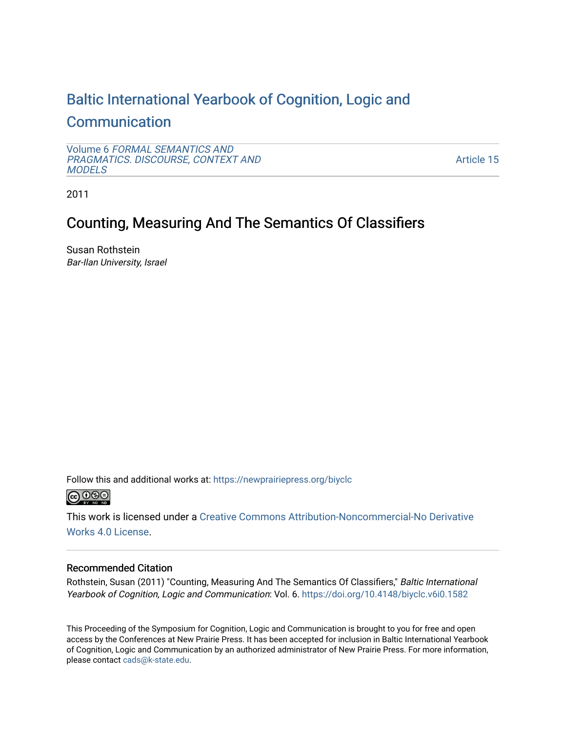# [Baltic International Yearbook of Cognition, Logic and](https://newprairiepress.org/biyclc)  **[Communication](https://newprairiepress.org/biyclc)**

Volume 6 [FORMAL SEMANTICS AND](https://newprairiepress.org/biyclc/vol6) [PRAGMATICS. DISCOURSE, CONTEXT AND](https://newprairiepress.org/biyclc/vol6)  **[MODELS](https://newprairiepress.org/biyclc/vol6)** 

[Article 15](https://newprairiepress.org/biyclc/vol6/iss1/15) 

2011

# Counting, Measuring And The Semantics Of Classifiers

Susan Rothstein Bar-Ilan University, Israel

Follow this and additional works at: [https://newprairiepress.org/biyclc](https://newprairiepress.org/biyclc?utm_source=newprairiepress.org%2Fbiyclc%2Fvol6%2Fiss1%2F15&utm_medium=PDF&utm_campaign=PDFCoverPages) 



This work is licensed under a [Creative Commons Attribution-Noncommercial-No Derivative](https://creativecommons.org/licenses/by-nc-nd/4.0/)  [Works 4.0 License](https://creativecommons.org/licenses/by-nc-nd/4.0/).

## Recommended Citation

Rothstein, Susan (2011) "Counting, Measuring And The Semantics Of Classifiers," Baltic International Yearbook of Cognition, Logic and Communication: Vol. 6. https://doi.org/10.4148/biyclc.v6i0.1582

This Proceeding of the Symposium for Cognition, Logic and Communication is brought to you for free and open access by the Conferences at New Prairie Press. It has been accepted for inclusion in Baltic International Yearbook of Cognition, Logic and Communication by an authorized administrator of New Prairie Press. For more information, please contact [cads@k-state.edu.](mailto:cads@k-state.edu)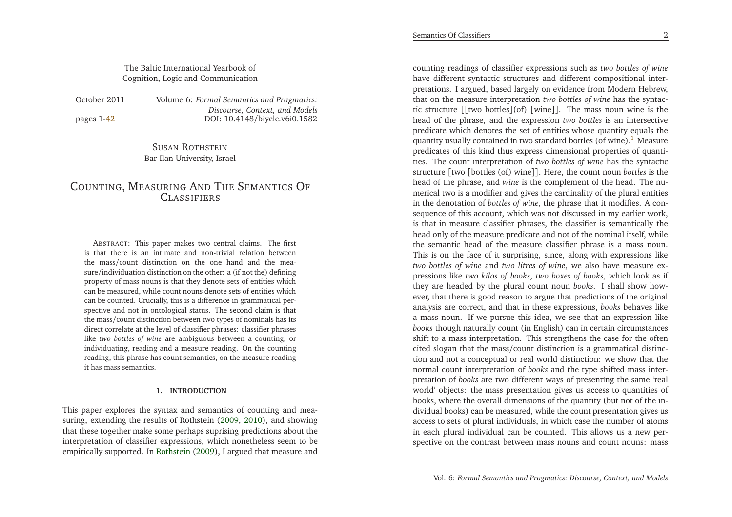The Baltic International Yearbook ofCognition, Logic and Communication

| October 2011 | Volume 6: i |  |
|--------------|-------------|--|
| pages 1-42   |             |  |

 *Formal Semantics and Pragmatics: Discourse, Context, and Models*DOI: 10.4148/biyclc.v6i0.1582

## SUSAN <sup>R</sup>OTHSTEIN Bar-Ilan University, Israel

## COUNTING, MEASURING AND THE SEMANTICS OF **CLASSIFIERS**

ABSTRACT: This paper makes two central claims. The first is that there is an intimate and non-trivial relation between the mass/count distinction on the one hand and the measure/individuation distinction on the other: <sup>a</sup> (if not the) defining property of mass nouns is that they denote sets of entities which can be measured, while count nouns denote sets of entities which can be counted. Crucially, this is <sup>a</sup> difference in grammatical perspective and not in ontological status. The second claim is that the mass/count distinction between two types of nominals has its direct correlate at the level of classifier <sup>p</sup>hrases: classifier <sup>p</sup>hrases like *two bottles of wine* are ambiguous between <sup>a</sup> counting, or individuating, reading and <sup>a</sup> measure reading. On the counting reading, this <sup>p</sup>hrase has count semantics, on the measure readingit has mass semantics.

#### **1. INTRODUCTION**

This paper explores the syntax and semantics of counting and measuring, extending the results of Rothstein [\(2009](#page-21-0), [2010\)](#page-21-1), and showing that these together make some perhaps suprising predictions about the interpretation of classifier expressions, which nonetheless seem to beempirically supported. In [Rothstein](#page-21-0) [\(2009\)](#page-21-0), <sup>I</sup> argued that measure and

<span id="page-1-0"></span>counting readings of classifier expressions such as *two bottles of wine* have different syntactic structures and different compositional interpretations. <sup>I</sup> argued, based largely on evidence from Modern Hebrew, that on the measure interpretation *two bottles of wine* has the syntactic structure [[two bottles](of) [wine]]. The mass noun wine is the head of the <sup>p</sup>hrase, and the expression *two bottles* is an intersective predicate which denotes the set of entities whose quantity equals thequantity usually contained in two standard bottles (of wine). $^{\rm 1}$  $^{\rm 1}$  $^{\rm 1}$  Measure predicates of this kind thus express dimensional properties of quantities. The count interpretation of *two bottles of wine* has the syntactic structure [two [bottles (of) wine]]. Here, the count noun *bottles* is the head of the <sup>p</sup>hrase, and *wine* is the complement of the head. The numerical two is <sup>a</sup> modifier and <sup>g</sup>ives the cardinality of the <sup>p</sup>lural entities in the denotation of *bottles of wine*, the <sup>p</sup>hrase that it modifies. <sup>A</sup> consequence of this account, which was not discussed in my earlier work, is that in measure classifier <sup>p</sup>hrases, the classifier is semantically the head only of the measure predicate and not of the nominal itself, while the semantic head of the measure classifier <sup>p</sup>hrase is <sup>a</sup> mass noun. This is on the face of it surprising, since, along with expressions like *two bottles of wine* and *two litres of wine*, we also have measure expressions like *two kilos of books*, *two boxes of books*, which look as if they are headed by the <sup>p</sup>lural count noun *books*. <sup>I</sup> shall show however, that there is good reason to argue that predictions of the original analysis are correct, and that in these expressions, *books* behaves like <sup>a</sup> mass noun. If we pursue this idea, we see that an expression like *books* though naturally count (in English) can in certain circumstances shift to <sup>a</sup> mass interpretation. This strengthens the case for the often cited slogan that the mass/count distinction is <sup>a</sup> grammatical distinction and not <sup>a</sup> conceptual or real world distinction: we show that the normal count interpretation of *books* and the type shifted mass interpretation of *books* are two different ways of presenting the same 'real world' objects: the mass presentation <sup>g</sup>ives us access to quantities of books, where the overall dimensions of the quantity (but not of the individual books) can be measured, while the count presentation <sup>g</sup>ives us access to sets of <sup>p</sup>lural individuals, in which case the number of atoms in each <sup>p</sup>lural individual can be counted. This allows us <sup>a</sup> newin each plural individual can be counted. This allows us a new per-<br>spective on the contrast between mass nouns and count nouns: mass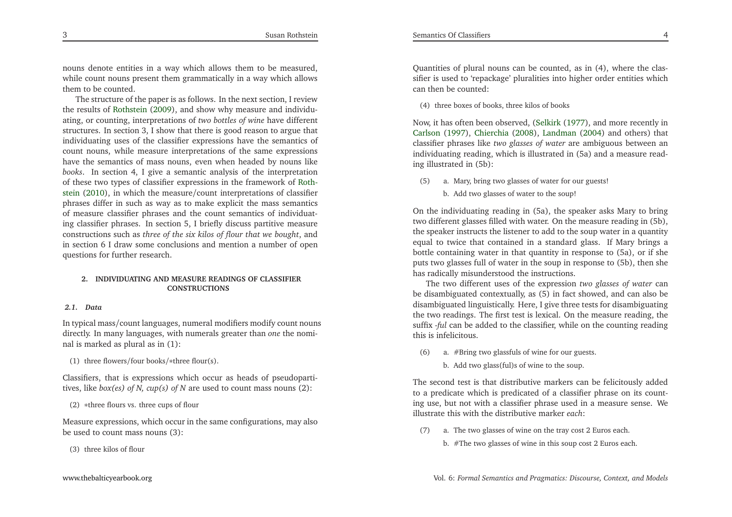nouns denote entities in <sup>a</sup> way which allows them to be measured, while count nouns presen<sup>t</sup> them grammatically in <sup>a</sup> way which allowsthem to be counted.

The structure of the paper is as follows. In the next section, <sup>I</sup> review the results of [Rothstein](#page-21-0) [\(2009](#page-21-0)), and show why measure and individuating, or counting, interpretations of *two bottles of wine* have different structures. In section 3, <sup>I</sup> show that there is good reason to argue that individuating uses of the classifier expressions have the semantics of count nouns, while measure interpretations of the same expressions have the semantics of mass nouns, even when headed by nouns like *books*. In section 4, <sup>I</sup> <sup>g</sup>ive <sup>a</sup> semantic analysis of the interpretation of these two types of classifier ex[p](#page-21-1)ressions in the framework of Rothstein [\(2010](#page-21-1)), in which the measure/count interpretations of classifier <sup>p</sup>hrases differ in such as way as to make explicit the mass semantics of measure classifier <sup>p</sup>hrases and the count semantics of individuating classifier <sup>p</sup>hrases. In section 5, <sup>I</sup> briefly discuss partitive measure constructions such as *three of the six kilos of flour that we bought*, and in section 6 <sup>I</sup> draw some conclusions and mention <sup>a</sup> number of openquestions for further research.

### **2. INDIVIDUATING AND MEASURE READINGS OF CLASSIFIERCONSTRUCTIONS**

#### *2.1. Data*

In typical mass/count languages, numeral modifiers modify count nouns directly. In many languages, with numerals greater than *one* the nominal is marked as <sup>p</sup>lural as in (1):

(1) three flowers/four books/∗three flour(s).

Classifiers, that is expressions which occur as heads of pseudopartitives, like *box(es) of N, cup(s) of <sup>N</sup>* are used to count mass nouns (2):

(2) <sup>∗</sup>three flours vs. three cups of flour

Measure expressions, which occur in the same configurations, may alsobe used to count mass nouns (3):

(3) three kilos of flour

(4) three boxes of books, three kilos of books

Now, it has often been observed, [\(Selkirk](#page-21-2) [\(1977](#page-21-2)), and more recently in [Carlson](#page-21-3) [\(1997](#page-21-3)), [Chierchia](#page-21-4) [\(2008](#page-21-4)), [Landman](#page-21-5) [\(2004](#page-21-5)) and others) that classifier <sup>p</sup>hrases like *two glasses of water* are ambiguous between an individuating reading, which is illustrated in (5a) and <sup>a</sup> measure reading illustrated in (5b):

- (5) a. Mary, bring two <sup>g</sup>lasses of water for our guests!
	- b. Add two <sup>g</sup>lasses of water to the soup!

On the individuating reading in (5a), the speaker asks Mary to bring two different <sup>g</sup>lasses filled with water. On the measure reading in (5b), the speaker instructs the listener to add to the soup water in <sup>a</sup> quantity equal to twice that contained in <sup>a</sup> standard <sup>g</sup>lass. If Mary brings <sup>a</sup> bottle containing water in that quantity in response to (5a), or if she puts two <sup>g</sup>lasses full of water in the soup in response to (5b), then shehas radically misunderstood the instructions.

The two different uses of the expression *two glasses of water* can be disambiguated contextually, as (5) in fact showed, and can also be disambiguated linguistically. Here, <sup>I</sup> <sup>g</sup>ive three tests for disambiguating the two readings. The first test is lexical. On the measure reading, the suffix -*ful* can be added to the classifier, while on the counting readingthis is infelicitous.

- (6) a. #Bring two <sup>g</sup>lassfuls of wine for our guests.
	- b. Add two <sup>g</sup>lass(ful)s of wine to the soup.

The second test is that distributive markers can be felicitously added to <sup>a</sup> predicate which is predicated of <sup>a</sup> classifier <sup>p</sup>hrase on its counting use, but not with <sup>a</sup> classifier <sup>p</sup>hrase used in <sup>a</sup> measure sense. Weillustrate this with the distributive marker *each*:

- (7) a. The two <sup>g</sup>lasses of wine on the tray cost <sup>2</sup> Euros each.
	- b. #The two <sup>g</sup>lasses of wine in this soup cost <sup>2</sup> Euros each.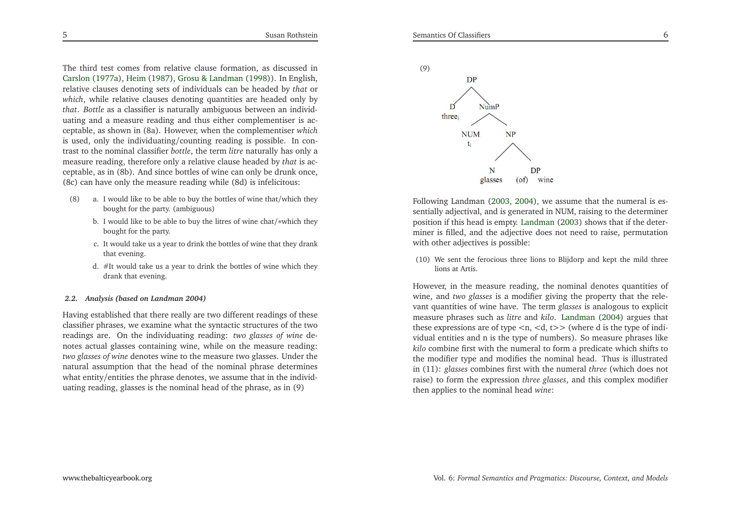The third test comes from relative clause formation, as discussed in [Carslon](#page-21-6) [\(1977a](#page-21-6)), [Heim](#page-21-7) [\(1987](#page-21-7)), Grosu & [Landman](#page-21-8) [\(1998](#page-21-8))). In English, relative clauses denoting sets of individuals can be headed by *that* or *which*, while relative clauses denoting quantities are headed only by

 *that*. *Bottle* as <sup>a</sup> classifier is naturally ambiguous between an individuating and <sup>a</sup> measure reading and thus either complementiser is acceptable, as shown in (8a). However, when the complementiser *which* is used, only the individuating/counting reading is possible. In contrast to the nominal classifier *bottle*, the term *litre* naturally has only <sup>a</sup> measure reading, therefore only <sup>a</sup> relative clause headed by *that* is acceptable, as in (8b). And since bottles of wine can only be drunk once, (8c) can have only the measure reading while (8d) is infelicitous:

- (8) a. <sup>I</sup> would like to be able to buy the bottles of wine that/which theybought for the party. (ambiguous)
	- b. <sup>I</sup> would like to be able to buy the litres of wine chat/∗which theybought for the party.
	- c. It would take us <sup>a</sup> year to drink the bottles of wine that they drankthat evening.
	- d. #It would take us <sup>a</sup> year to drink the bottles of wine which theydrank that evening.

#### *2.2. Analysis (based on Landman 2004)*

Having established that there really are two different readings of these classifier <sup>p</sup>hrases, we examine what the syntactic structures of the two readings are. On the individuating reading: *two glasses of wine* denotes actual <sup>g</sup>lasses containing wine, while on the measure reading: *two glasses of wine* denotes wine to the measure two <sup>g</sup>lasses. Under the natural assumption that the head of the nominal <sup>p</sup>hrase determines what entity/entities the <sup>p</sup>hrase denotes, we assume that in the individuating reading, <sup>g</sup>lasses is the nominal head of the <sup>p</sup>hrase, as in (9)



Following Landman [\(2003](#page-21-9), [2004](#page-21-5)), we assume that the numeral is essentially adjectival, and is generated in NUM, raising to the determiner position if this head is empty. [Landman](#page-21-9) [\(2003](#page-21-9)) shows that if the determiner is filled, and the adjective does not need to raise, permutationwith other adjectives is possible:

(10) We sent the ferocious three lions to Blijdorp and kept the mild threelions at Artis.

However, in the measure reading, the nominal denotes quantities of wine, and *two glasses* is <sup>a</sup> modifier <sup>g</sup>iving the property that the relevant quantities of wine have. The term *glasses* is analogous to explicit measure <sup>p</sup>hrases such as *litre* and *kilo*. [Landman](#page-21-5) [\(2004](#page-21-5)) argues that these expressions are of type *<sup>&</sup>lt;*n, *<sup>&</sup>lt;*d, <sup>t</sup>*>>* (where <sup>d</sup> is the type of individual entities and <sup>n</sup> is the type of numbers). So measure <sup>p</sup>hrases like *kilo* combine first with the numeral to form <sup>a</sup> predicate which shifts to the modifier type and modifies the nominal head. Thus is illustrated in (11): *glasses* combines first with the numeral *three* (which does not raise) to form the expression *three glasses*, and this complex modifier then applies to the nominal head *wine*: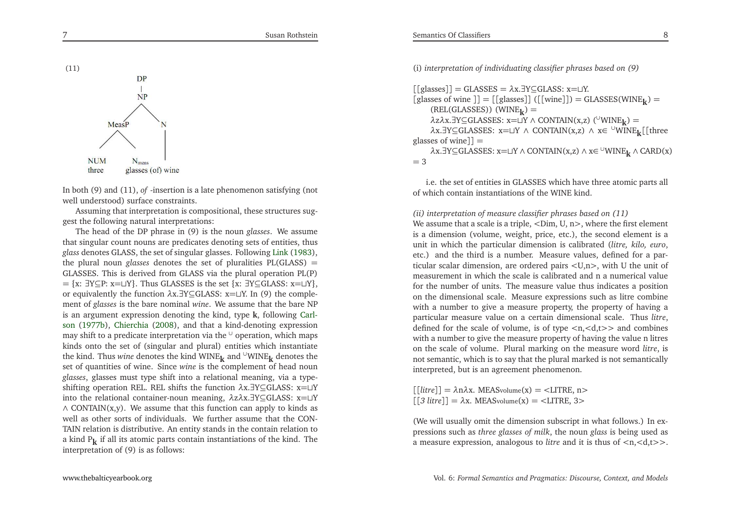(11)

(i) *interpretation of individuating classifier <sup>p</sup>hrases based on (9)*

[[glasses]] <sup>=</sup> GLASSES <sup>=</sup> *<sup>λ</sup>*x.∃Y⊆GLASS: <sup>x</sup>=⊔Y.  $[g$ lasses of wine  $]] = [[g$ lasses]] ( $[[\text{wine}]]$ ) = GLASSES(WINE<sub>**k**</sub>) = (REL(GLASSES)) (WINE**k**) <sup>=</sup> *λ*z*λ*x.∃Y⊆GLASSES: <sup>x</sup>=⊔<sup>Y</sup> <sup>∧</sup> CONTAIN(x,z) (<sup>∪</sup>WINE**k**) <sup>=</sup> *λ*x.∃Y⊆GLASSES: <sup>x</sup>=⊔<sup>Y</sup> <sup>∧</sup> CONTAIN(x,z) <sup>∧</sup> <sup>x</sup><sup>∈</sup> <sup>∪</sup>WINE**k**[[three <sup>g</sup>lasses of wine]] <sup>=</sup> *λ*x.∃Y⊆GLASSES: <sup>x</sup>=⊔<sup>Y</sup> <sup>∧</sup> CONTAIN(x,z) <sup>∧</sup> <sup>x</sup><sup>∈</sup> <sup>∪</sup>WINE**<sup>k</sup>** <sup>∧</sup> CARD(x)  $=$  3

i.e. the set of entities in GLASSES which have three atomic parts allof which contain instantiations of the WINE kind.

#### *(ii) interpretation of measure classifier <sup>p</sup>hrases based on (11)*

 We assume that <sup>a</sup> scale is <sup>a</sup> triple, *<sup>&</sup>lt;*Dim, U, <sup>n</sup>*>*, where the first element is <sup>a</sup> dimension (volume, weight, price, etc.), the second element is <sup>a</sup> unit in which the particular dimension is calibrated (*litre, kilo, euro*, etc.) and the third is <sup>a</sup> number. Measure values, defined for <sup>a</sup> particular scalar dimension, are ordered pairs *<sup>&</sup>lt;*U,n*<sup>&</sup>gt;*, with <sup>U</sup> the unit of measurement in which the scale is calibrated and <sup>n</sup> <sup>a</sup> numerical value for the number of units. The measure value thus indicates <sup>a</sup> position on the dimensional scale. Measure expressions such as litre combine with <sup>a</sup> number to <sup>g</sup>ive <sup>a</sup> measure property, the property of having <sup>a</sup> particular measure value on <sup>a</sup> certain dimensional scale. Thus *litre*, defined for the scale of volume, is of type *<sup>&</sup>lt;*n,*<sup>&</sup>lt;*d,t*>>* and combines with <sup>a</sup> number to <sup>g</sup>ive the measure property of having the value <sup>n</sup> litres on the scale of volume. Plural marking on the measure word *litre*, is not semantic, which is to say that the <sup>p</sup>lural marked is not semanticallyinterpreted, but is an agreemen<sup>t</sup> <sup>p</sup>henomenon.

[[*litre*]] <sup>=</sup> *<sup>λ</sup>*n*λ*x. MEASvolume(x) <sup>=</sup> *<sup>&</sup>lt;*LITRE, <sup>n</sup>*<sup>&</sup>gt;* [[*<sup>3</sup> litre*]] <sup>=</sup> *<sup>λ</sup>*x. MEASvolume(x) <sup>=</sup> *<sup>&</sup>lt;*LITRE, <sup>3</sup>*<sup>&</sup>gt;*

(We will usually omit the dimension subscript in what follows.) In expressions such as *three glasses of milk*, the noun *glass* is being used as <sup>a</sup> measure expression, analogous to *litre* and it is thus of *<sup>&</sup>lt;*n,*<sup>&</sup>lt;*d,t*>>*.

## [www.thebalticyearbook.org](http://www.thebalticyearbook.org/)

**NUM N**<sub>meas</sub> glasses (of) wine three In both (9) and (11), *of* -insertion is <sup>a</sup> late <sup>p</sup>henomenon satisfying (not

well understood) surface constraints. Assuming that interpretation is compositional, these structures sugges<sup>t</sup> the following natural interpretations:

 The head of the DP <sup>p</sup>hrase in (9) is the noun *glasses*. We assume that singular count nouns are predicates denoting sets of entities, thus *glass* denotes GLASS, the set of singular <sup>g</sup>lasses. Following [Link](#page-21-10) [\(1983\)](#page-21-10), the <sup>p</sup>lural noun *glasses* denotes the set of <sup>p</sup>luralities PL(GLASS) <sup>=</sup> GLASSES. This is derived from GLASS via the <sup>p</sup>lural operation PL(P) = {x: ∃Y⊆P: x=⊔Y}. Thus GLASSES is the set {x: ∃Y⊆GLASS: x=⊔Y},<br>or equivalently the function  $\lambda x$  ∃Y⊆CLASS:  $x=0$  V. In (0) the comple or equivalently the function *<sup>λ</sup>*x.∃Y⊆GLASS: <sup>x</sup>=⊔Y. In (9) the complement of *glasses* is the bare nominal *wine*. We assume that the bare NP is an argumen<sup>t</sup> expression denoting the kind, type **<sup>k</sup>**, followin[g](#page-21-11) Carlson [\(1977b](#page-21-11)), [Chierchia](#page-21-4) [\(2008](#page-21-4)), and that <sup>a</sup> kind-denoting expression may shift to a predicate interpretation via the  $^{\cup}$  operation, which maps kinds onto the set of (singular and <sup>p</sup>lural) entities which instantiatethe kind. Thus *wine* denotes the kind WINE<sub>k</sub> and <sup>∪</sup>WINE<sub>k</sub> denotes the contribution of part and normal part of bood normal part of the complement of bood normal part of the set of the set of the set of the set of the s set of quantities of wine. Since *wine* is the complement of head noun *glasses*, <sup>g</sup>lasses must type shift into <sup>a</sup> relational meaning, via <sup>a</sup> typeshifting operation REL. REL shifts the function *<sup>λ</sup>*x.∃Y⊆GLASS: <sup>x</sup>=⊔<sup>Y</sup> into the relational container-noun meaning, *λ*z*λ*x.∃Y⊆GLASS: <sup>x</sup>=⊔<sup>Y</sup> $\wedge$  CONTAIN(x,y). We assume that this function can apply to kinds as well as other sorts of individuals. We further assume that the CON-TAIN relation is distributive. An entity stands in the contain relation to <sup>a</sup> kind <sup>P</sup>**<sup>k</sup>** if all its atomic parts contain instantiations of the kind. The interpretation of (9) is as follows:



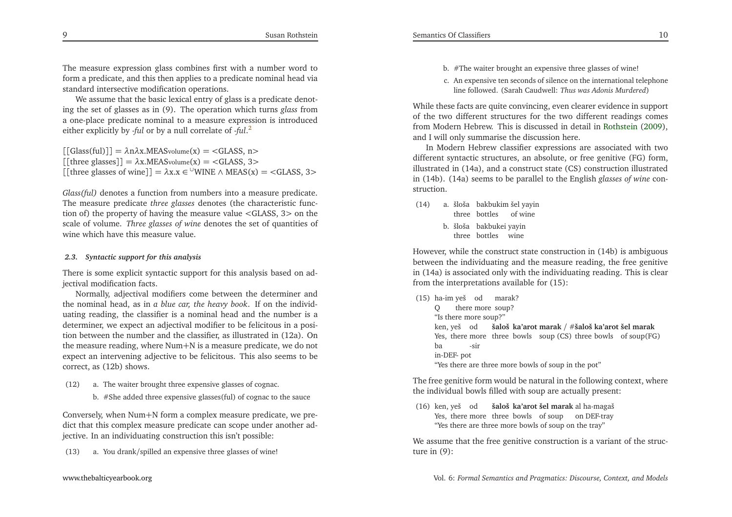The measure expression <sup>g</sup>lass combines first with <sup>a</sup> number word to form <sup>a</sup> predicate, and this then applies to <sup>a</sup> predicate nominal head viastandard intersective modification operations.

We assume that the basic lexical entry of <sup>g</sup>lass is <sup>a</sup> predicate denoting the set of <sup>g</sup>lasses as in (9). The operation which turns *glass* from <sup>a</sup> one-place predicate nominal to <sup>a</sup> measure expression is introducedeither explicitly by -*ful* or by <sup>a</sup> null correlate of -*ful*.[2](#page-20-1)

[[Glass(ful)]] <sup>=</sup> *<sup>λ</sup>*n*λ*x.MEASvolume(x) <sup>=</sup> *<sup>&</sup>lt;*GLASS, <sup>n</sup>*<sup>&</sup>gt;* [[three <sup>g</sup>lasses]] <sup>=</sup> *<sup>λ</sup>*x.MEASvolume(x) <sup>=</sup> *<sup>&</sup>lt;*GLASS, <sup>3</sup>*<sup>&</sup>gt;*  $[[there \text{ glasses of wine}]] = \lambda x.x \in {}^{\cup}\text{WINE} \wedge \text{MEAS}(x) = \langle \text{GLASS}, 3 \rangle$ 

*Glass(ful)* denotes <sup>a</sup> function from numbers into <sup>a</sup> measure predicate. The measure predicate *three glasses* denotes (the characteristic function of) the property of having the measure value *<sup>&</sup>lt;*GLASS, <sup>3</sup>*<sup>&</sup>gt;* on the scale of volume. *Three glasses of wine* denotes the set of quantities of wine which have this measure value.

#### *2.3. Syntactic support for this analysis*

There is some explicit syntactic suppor<sup>t</sup> for this analysis based on adjectival modification facts.

Normally, adjectival modifiers come between the determiner and the nominal head, as in *<sup>a</sup> blue car, the heavy book*. If on the individuating reading, the classifier is <sup>a</sup> nominal head and the number is <sup>a</sup> determiner, we expec<sup>t</sup> an adjectival modifier to be felicitous in <sup>a</sup> position between the number and the classifier, as illustrated in (12a). On the measure reading, where Num+<sup>N</sup> is <sup>a</sup> measure predicate, we do not expec<sup>t</sup> an intervening adjective to be felicitous. This also seems to be correct, as (12b) shows.

- (12) a. The waiter brought three expensive <sup>g</sup>lasses of cognac.
	- b. #She added three expensive <sup>g</sup>lasses(ful) of cognac to the sauce

Conversely, when Num+<sup>N</sup> form <sup>a</sup> complex measure predicate, we predict that this complex measure predicate can scope under another adjective. In an individuating construction this isn't possible:

(13) a. You drank/spilled an expensive three <sup>g</sup>lasses of wine!

- b. #The waiter brought an expensive three <sup>g</sup>lasses of wine!
- c. An expensive ten seconds of silence on the international telephoneline followed. (Sarah Caudwell: *Thus was Adonis Murdered*)

While these facts are quite convincing, even clearer evidence in suppor<sup>t</sup> of the two different structures for the two different readings comes from Modern Hebrew. This is discussed in detail in [Rothstein](#page-21-0) [\(2009\)](#page-21-0), and <sup>I</sup> will only summarise the discussion here.

In Modern Hebrew classifier expressions are associated with two different syntactic structures, an absolute, or free genitive (FG) form, illustrated in (14a), and <sup>a</sup> construct state (CS) construction illustrated in (14b). (14a) seems to be parallel to the English *glasses of wine* construction.

- (14) a. šloša bakbukim šel yayin three bottles of wine
	- b. šloša bakbukei yayinthree bottles wine

<span id="page-5-0"></span>However, while the construct state construction in (14b) is ambiguous between the individuating and the measure reading, the free genitive in (14a) is associated only with the individuating reading. This is clearfrom the interpretations available for (15):

|                       |                    | (15) ha-im yeš od marak? |                                                                |  |
|-----------------------|--------------------|--------------------------|----------------------------------------------------------------|--|
|                       | Q there more soup? |                          |                                                                |  |
| "Is there more soup?" |                    |                          |                                                                |  |
|                       |                    |                          | ken, yeš od šaloš ka'arot marak / $\#$ šaloš ka'arot šel marak |  |
|                       |                    |                          | Yes, there more three bowls soup (CS) three bowls of soup (FG) |  |
| ba                    | -sir               |                          |                                                                |  |
| in-DEF- pot           |                    |                          |                                                                |  |
|                       |                    |                          | "Yes there are three more bowls of soup in the pot"            |  |

The free genitive form would be natural in the following context, wherethe individual bowls filled with soup are actually present:

(16) ken, yeš od **šaloš ka'arot šel marak** al ha-magaš Yes, there more three bowls of soup on DEF-tray"Yes there are three more bowls of soup on the tray"

We assume that the free genitive construction is <sup>a</sup> variant of the structure in (9):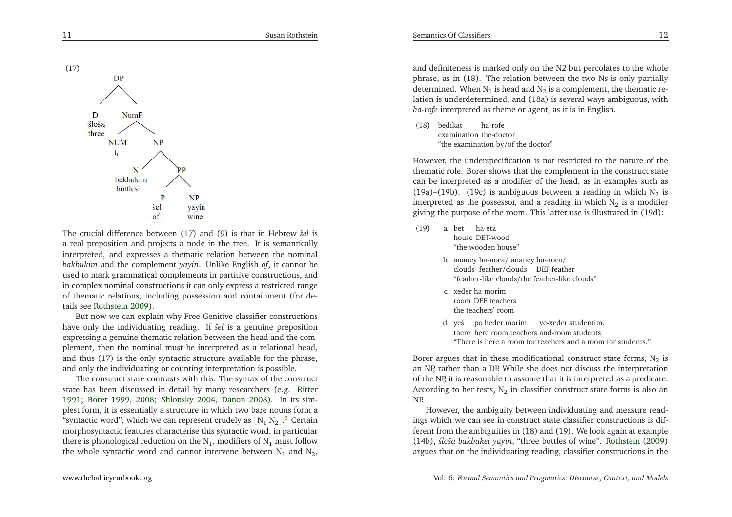

The crucial difference between (17) and (9) is that in Hebrew *šel* is <sup>a</sup> real preposition and projects <sup>a</sup> node in the tree. It is semantically interpreted, and expresses <sup>a</sup> thematic relation between the nominal *bakbukim* and the complement *yayin*. Unlike English *of*, it cannot be used to mark grammatical complements in partitive constructions, and in complex nominal constructions it can only express <sup>a</sup> restricted range of thematic relations, including possession and containment (for details see [Rothstein](#page-21-0) [2009](#page-21-0)).

<span id="page-6-0"></span>But now we can explain why Free Genitive classifier constructions have only the individuating reading. If *šel* is <sup>a</sup> genuine preposition expressing <sup>a</sup> genuine thematic relation between the head and the com<sup>p</sup>lement, then the nominal must be interpreted as <sup>a</sup> relational head, and thus (17) is the only syntactic structure available for the <sup>p</sup>hrase, and only the individuating or counting interpretation is possible.

The construct state contrasts with this. The syntax of the construct state has been discussed in detail by many researchers (e.g. [Ritter](#page-21-12) [1991](#page-21-12); [Borer](#page-20-2) [1999](#page-20-2), [2008](#page-21-13); [Shlonsky](#page-21-14) [2004](#page-21-14), [Danon](#page-21-15) [2008\)](#page-21-15). In its sim<sup>p</sup>lest form, it is essentially <sup>a</sup> structure in which two bare nouns form <sup>a</sup>"syntactic word", which we can represent crudely as  $[N_1 N_2]^3$  $[N_1 N_2]^3$  Certain morphosyntactic features characterise this syntactic word, in particularthere is phonological reduction on the  $\mathrm{N}_1$  modifiers of  $\mathrm{N}_1$  must follow the whole syntactic word and cannot intervene between  $N_1$  and  $N_2$ ,

and definiteness is marked only on the N2 but percolates to the whole <sup>p</sup>hrase, as in (18). The relation between the two Ns is only partiallydetermined. When  $N_1$  is head and  $N_2$  is a complement, the thematic relation is underdetermined, and (18a) is several ways ambiguous, with*ha-rofe* interpreted as theme or agent, as it is in English.

(18) bedikat ha-rofe examination the-doctor"the examination by/of the doctor"

However, the underspecification is not restricted to the nature of the thematic role. Borer shows that the complement in the construct state can be interpreted as <sup>a</sup> modifier of the head, as in examples such as(19a)–(19b). (19c) is ambiguous between a reading in which  $N_2$  is interpreted as the possessor, and a reading in which  $N_2$  is a modifier <sup>g</sup>iving the purpose of the room. This latter use is illustrated in (19d):

- (19) a. bet ha-etz house DET-wood "the wooden house"
	- b. ananey ha-noca/ ananey ha-noca/ clouds feather/clouds DEF-feather"feather-like clouds/the feather-like clouds"
	- c. xeder ha-morim room DEF teachersthe teachers' room
	- d. yeš po heder morim ve-xeder studentim. there here room teachers and-room students"There is here <sup>a</sup> room for teachers and <sup>a</sup> room for students."

Borer argues that in these modificational construct state forms,  $N_2$  is an NP, rather than <sup>a</sup> DP. While she does not discuss the interpretation of the NP, it is reasonable to assume that it is interpreted as <sup>a</sup> predicate. According to her tests,  $N_2$  in classifier construct state forms is also an NP.

However, the ambiguity between individuating and measure readings which we can see in construct state classifier constructions is different from the ambiguities in (18) and (19). We look again at example (14b), *šloša bakbukei yayin*, "three bottles of wine". [Rothstein](#page-21-0) [\(2009](#page-21-0)) argues that on the individuating reading, classifier constructions in the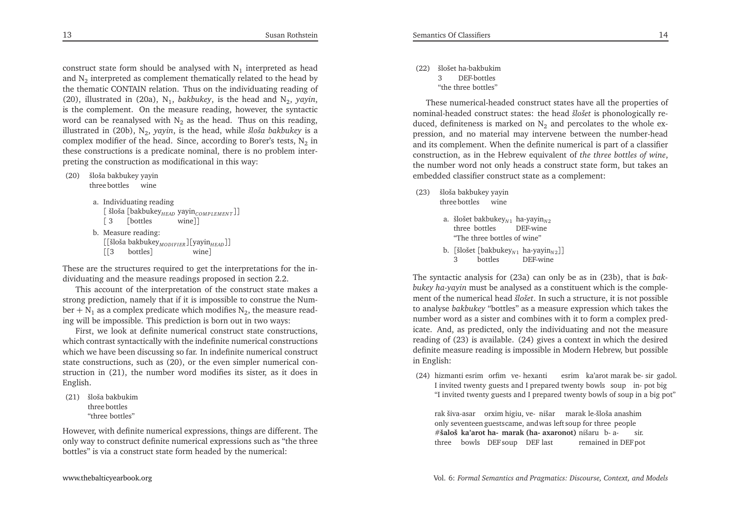construct state form should be analysed with  $N_1$  interpreted as head and  $N_2$  interpreted as complement thematically related to the head by the thematic CONTAIN relation. Thus on the individuating reading of(20), illustrated in (20a),  $N_1$ , *bakbukey*, is the head and  $N_2$ , *yayin*, is the complement. On the measure reading, however, the syntacticword can be reanalysed with  $N_2$  as the head. Thus on this reading, illustrated in (20b), <sup>N</sup><sup>2</sup>, *yayin*, is the head, while *šloša bakbukey* is <sup>a</sup>complex modifier of the head. Since, according to Borer's tests,  $N_2$  in these constructions is <sup>a</sup> predicate nominal, there is no problem interpreting the construction as modificational in this way:

(20) šloša bakbukey yayinthree bottles wine

```
a. Individuating reading\left[ \delta \text{R} \left[ \text{bakbukey}_{\text{HEAD}} \text{ yayin}_{\text{COMPLEMENT}} \right] \right][ 3[bottles wine]]
b. Measure reading:
[[šloša bakbukeyMODI F I ER ][yayinH EAD]]
    [[3 bottles]
                                         wine]
```
These are the structures required to ge<sup>t</sup> the interpretations for the individuating and the measure readings proposed in section 2.2.

This account of the interpretation of the construct state makes <sup>a</sup> strong prediction, namely that if it is impossible to construe the Number +  $N_1$  as a complex predicate which modifies  $N_2$ , the measure read-ing will be impossible. This prediction is born out in two ways:

 First, we look at definite numerical construct state constructions, which contrast syntactically with the indefinite numerical constructions which we have been discussing so far. In indefinite numerical construct state constructions, such as (20), or the even simpler numerical construction in (21), the number word modifies its sister, as it does inEnglish.

(21) šloša bakbukimthree bottles"three bottles"

However, with definite numerical expressions, things are different. The only way to construct definite numerical expressions such as "the threebottles" is via <sup>a</sup> construct state form headed by the numerical:

(22) šlošet ha-bakbukim <sup>3</sup> DEF-bottles"the three bottles"

These numerical-headed construct states have all the properties of nominal-headed construct states: the head *šlošet* is <sup>p</sup>honologically reduced, definiteness is marked on  $N_2$  and percolates to the whole expression, and no material may intervene between the number-head and its complement. When the definite numerical is par<sup>t</sup> of <sup>a</sup> classifier construction, as in the Hebrew equivalent of *the three bottles of wine*, the number word not only heads <sup>a</sup> construct state form, but takes anembedded classifier construct state as <sup>a</sup> complement:

- (23) šloša bakbukey yayin three bottles wine
	- a. šlošet bakbukey<sub>N1</sub> ha-yayin<sub>N2</sub> three bottles DEF-wine"The three bottles of wine"
	- b. [šlošet [bakbukey<sub>N1</sub> ha-yayin<sub>N2</sub>]] <sup>3</sup> bottles DEF-wine

The syntactic analysis for (23a) can only be as in (23b), that is *bakbukey ha-yayin* must be analysed as <sup>a</sup> constituent which is the complement of the numerical head *šlošet*. In such <sup>a</sup> structure, it is not possible to analyse *bakbukey* "bottles" as <sup>a</sup> measure expression which takes the number word as <sup>a</sup> sister and combines with it to form <sup>a</sup> complex predicate. And, as predicted, only the individuating and not the measure reading of (23) is available. (24) <sup>g</sup>ives <sup>a</sup> context in which the desired definite measure reading is impossible in Modern Hebrew, but possiblein English:

(24) hizmanti esrim orfim ve- hexanti esrim ka'arot marak be- sir gadol. <sup>I</sup> invited twenty guests and <sup>I</sup> prepared twenty bowls soup in- po<sup>t</sup> big"I invited twenty guests and <sup>I</sup> prepared twenty bowls of soup in <sup>a</sup> big pot"

rak šiva-asar orxim higiu, ve- nišar marak le-šloša anashim only seventeen guestscame, andwas left soup for three peoplesir. #**šaloš ka'arot ha- marak (ha- axaronot)** nišaru b- a- sir. three bowls DEF soup DEF last remained in DEF po<sup>t</sup>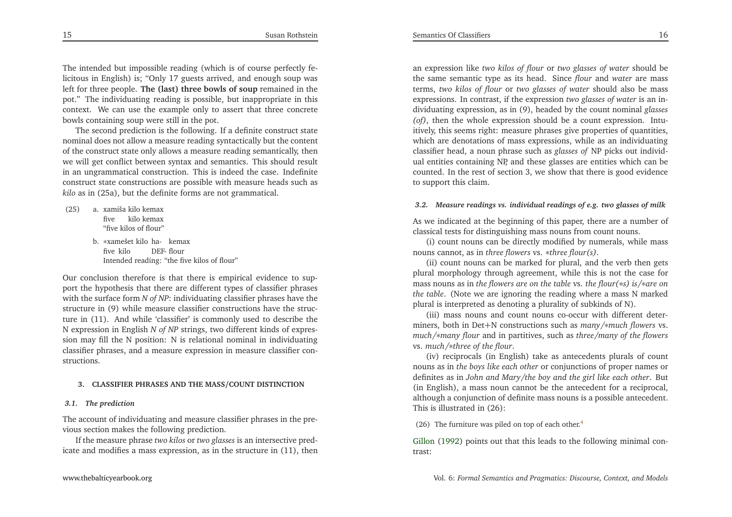The intended but impossible reading (which is of course perfectly felicitous in English) is; "Only 17 guests arrived, and enough soup was left for three people. **The (last) three bowls of soup** remained in the pot." The individuating reading is possible, but inappropriate in this context. We can use the example only to assert that three concretebowls containing soup were still in the pot.

The second prediction is the following. If <sup>a</sup> definite construct state nominal does not allow <sup>a</sup> measure reading syntactically but the content of the construct state only allows <sup>a</sup> measure reading semantically, then we will ge<sup>t</sup> conflict between syntax and semantics. This should result in an ungrammatical construction. This is indeed the case. Indefinite construct state constructions are possible with measure heads such as*kilo* as in (25a), but the definite forms are not grammatical.

- <span id="page-8-0"></span>(25) a. xamiša kilo kemax five kilo kemax "five kilos of flour"
	- b. <sup>∗</sup>xamešet kilo ha- kemaxfive kilo DEF- flourIntended reading: "the five kilos of flour"

Our conclusion therefore is that there is empirical evidence to suppor<sup>t</sup> the hypothesis that there are different types of classifier <sup>p</sup>hraseswith the surface form *N of NP*: individuating classifier phrases have the structure in (0) while measure also if we constructional have the structure structure in (9) while measure classifier constructions have the structure in (11). And while 'classifier' is commonly used to describe the <sup>N</sup> expression in English *<sup>N</sup> of NP* strings, two different kinds of expression may fill the <sup>N</sup> position: <sup>N</sup> is relational nominal in individuating classifier <sup>p</sup>hrases, and <sup>a</sup> measure expression in measure classifier constructions.

#### **3. CLASSIFIER PHRASES AND THE MASS/COUNT DISTINCTION**

#### *3.1. The prediction*

The account of individuating and measure classifier <sup>p</sup>hrases in the previous section makes the following prediction.

If the measure <sup>p</sup>hrase *two kilos* or *two glasses* is an intersective predicate and modifies <sup>a</sup> mass expression, as in the structure in (11), then

an expression like *two kilos of flour* or *two glasses of water* should be the same semantic type as its head. Since *flour* and *water* are mass terms, *two kilos of flour* or *two glasses of water* should also be mass expressions. In contrast, if the expression *two glasses of water* is an individuating expression, as in (9), headed by the count nominal *glasses (of)*, then the whole expression should be <sup>a</sup> count expression. Intuitively, this seems right: measure <sup>p</sup>hrases <sup>g</sup>ive properties of quantities, which are denotations of mass expressions, while as an individuating classifier head, <sup>a</sup> noun <sup>p</sup>hrase such as *glasses of* NP <sup>p</sup>icks out individual entities containing NP, and these <sup>g</sup>lasses are entities which can be counted. In the rest of section 3, we show that there is good evidenceto suppor<sup>t</sup> this claim.

#### 3.2. Measure readings vs. individual readings of e.g. two glasses of milk

As we indicated at the beginning of this paper, there are <sup>a</sup> number ofclassical tests for distinguishing mass nouns from count nouns.

(i) count nouns can be directly modified by numerals, while massnouns cannot, as in *three flowers* vs. <sup>∗</sup>*three flour(s)*.

(ii) count nouns can be marked for <sup>p</sup>lural, and the verb then gets <sup>p</sup>lural morphology through agreement, while this is not the case for mass nouns as in *the flowers are on the table* vs. *the flour(*∗*s) is/*<sup>∗</sup>*are on the table*. (Note we are ignoring the reading where <sup>a</sup> mass <sup>N</sup> marked<sup>p</sup>lural is interpreted as denoting <sup>a</sup> <sup>p</sup>lurality of subkinds of N).

(iii) mass nouns and count nouns co-occur with different determiners, both in Det+<sup>N</sup> constructions such as *many/*∗*much flowers* vs. *much/*<sup>∗</sup>*many flour* and in partitives, such as *three/many of the flowers* vs. *much/*∗*three of the flour*.

(iv) reciprocals (in English) take as antecedents <sup>p</sup>lurals of count nouns as in *the boys like each other* or conjunctions of proper names or definites as in John and Mary/the boy and the girl like each other. But (in English), <sup>a</sup> mass noun cannot be the antecedent for <sup>a</sup> reciprocal, although <sup>a</sup> conjunction of definite mass nouns is <sup>a</sup> possible antecedent. This is illustrated in (26):

(26) The furniture was piled on top of each other.<sup>[4](#page-20-4)</sup>

[Gillon](#page-21-16) [\(1992](#page-21-16)) points out that this leads to the following minimal contrast: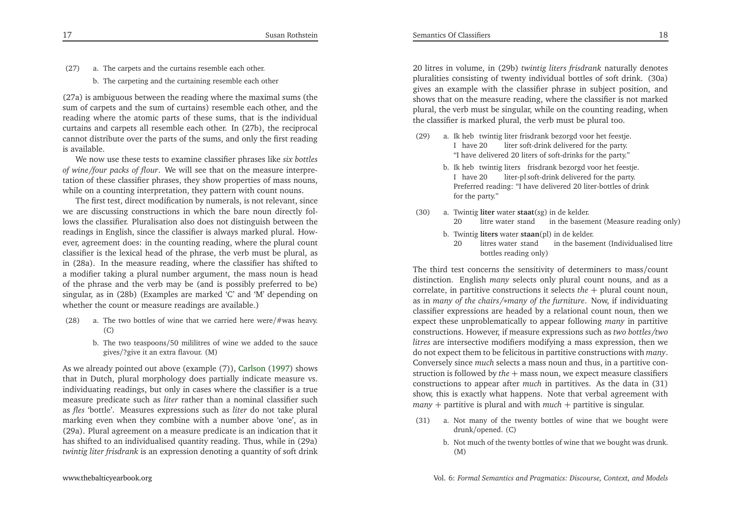- (27) a. The carpets and the curtains resemble each other.
	- b. The carpeting and the curtaining resemble each other

(27a) is ambiguous between the reading where the maximal sums (the sum of carpets and the sum of curtains) resemble each other, and the reading where the atomic parts of these sums, that is the individual curtains and carpets all resemble each other. In (27b), the reciprocal cannot distribute over the parts of the sums, and only the first readingis available.

We now use these tests to examine classifier <sup>p</sup>hrases like *six bottles of wine/four packs of flour*. We will see that on the measure interpre tation of these classifier <sup>p</sup>hrases, they show properties of mass nouns, while on <sup>a</sup> counting interpretation, they pattern with count nouns.

The first test, direct modification by numerals, is not relevant, since we are discussing constructions in which the bare noun directly follows the classifier. Pluralisation also does not distinguish between the readings in English, since the classifier is always marked <sup>p</sup>lural. However, agreemen<sup>t</sup> does: in the counting reading, where the <sup>p</sup>lural count classifier is the lexical head of the <sup>p</sup>hrase, the verb must be <sup>p</sup>lural, as in (28a). In the measure reading, where the classifier has shifted to <sup>a</sup> modifier taking <sup>a</sup> <sup>p</sup>lural number argument, the mass noun is head of the <sup>p</sup>hrase and the verb may be (and is possibly preferred to be) singular, as in (28b) (Examples are marked 'C' and 'M' depending onwhether the count or measure readings are available.)

- (28) a. The two bottles of wine that we carried here were/#was heavy. (C)
	- b. The two teaspoons/<sup>50</sup> mililitres of wine we added to the sauce<sup>g</sup>ives/?give it an extra flavour. (M)

As we already pointed out above (example (7)), [Carlson](#page-21-3) [\(1997](#page-21-3)) shows that in Dutch, <sup>p</sup>lural morphology does partially indicate measure vs. individuating readings, but only in cases where the classifier is <sup>a</sup> true measure predicate such as *liter* rather than <sup>a</sup> nominal classifier such as *fles* 'bottle'. Measures expressions such as *liter* do not take <sup>p</sup>lural marking even when they combine with <sup>a</sup> number above 'one', as <sup>i</sup>n (29a). Plural agreemen<sup>t</sup> on <sup>a</sup> measure predicate is an indication that it has shifted to an individualised quantity reading. Thus, while in (29a)*twintig liter frisdrank* is an expression denoting <sup>a</sup> quantity of soft drink

<sup>20</sup> litres in volume, in (29b) *twintig liters frisdrank* naturally denotes <sup>p</sup>luralities consisting of twenty individual bottles of soft drink. (30a) <sup>g</sup>ives an example with the classifier <sup>p</sup>hrase in subject position, and shows that on the measure reading, where the classifier is not marked <sup>p</sup>lural, the verb must be singular, while on the counting reading, whenthe classifier is marked <sup>p</sup>lural, the verb must be <sup>p</sup>lural too.

- (29) a. Ik heb twintig liter frisdrank bezorgd voor het feestje. <sup>I</sup> have <sup>20</sup> liter soft-drink delivered for the party. "I have delivered <sup>20</sup> liters of soft-drinks for the party."
	- b. Ik heb twintig liters frisdrank bezorgd voor het feestje. <sup>I</sup> have <sup>20</sup> liter-pl soft-drink delivered for the party. Preferred reading: "I have delivered <sup>20</sup> liter-bottles of drinkfor the party."
- (30) a. Twintig **liter** water **staat**(sg) in de kelder. <sup>20</sup> litre water stand in the basement (Measure reading only)
	- b. Twintig **liters** water **staan**(pl) in de kelder.
		- <sup>20</sup> litres water stand in the basement (Individualised litrebottles reading only)

The third test concerns the sensitivity of determiners to mass/count distinction. English *many* selects only <sup>p</sup>lural count nouns, and as <sup>a</sup> correlate, in partitive constructions it selects *the*+ <sup>p</sup>lural count noun, as in *many of the chairs /*<sup>∗</sup>*many of the furniture*. Now, if individuating classifier expressions are headed by <sup>a</sup> relational count noun, then we expec<sup>t</sup> these unproblematically to appear following *many* in partitive constructions. However, if measure expressions such as *two bottles /two litres* are intersective modifiers modifying <sup>a</sup> mass expression, then we do not expec<sup>t</sup> them to be felicitous in partitive constructions with *many*. Conversely since *much* selects <sup>a</sup> mass noun and thus, in <sup>a</sup> partitive construction is followed by *the* + mass noun, we expec<sup>t</sup> measure classifiers constructions to appear after *much* in partitives. As the data in (31) show, this is exactly what happens. Note that verbal agreemen<sup>t</sup> with*many*+ partitive is <sup>p</sup>lural and with *much* + partitive is singular.

- (31) a. Not many of the twenty bottles of wine that we bought weredrunk/opened. (C)
	- b. Not much of the twenty bottles of wine that we bought was drunk. (M)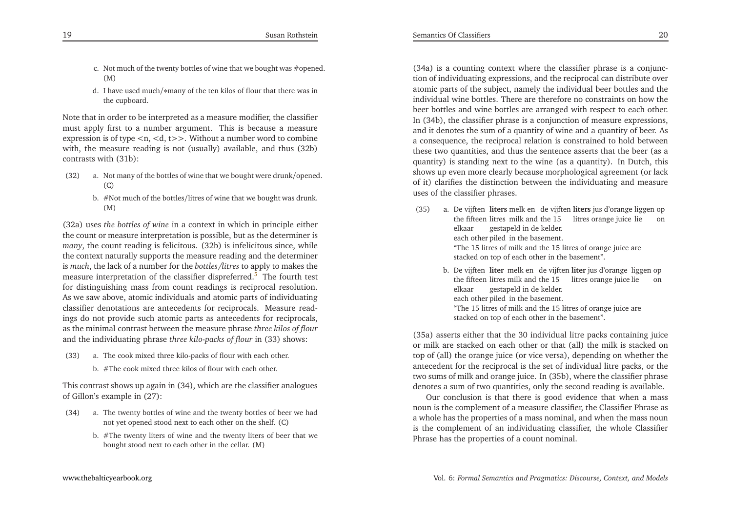- c. Not much of the twenty bottles of wine that we bought was #opened. (M)
- d. <sup>I</sup> have used much/<sup>∗</sup>many of the ten kilos of flour that there was inthe cupboard.

Note that in order to be interpreted as <sup>a</sup> measure modifier, the classifier must apply first to <sup>a</sup> number argument. This is because <sup>a</sup> measure expression is of type *<sup>&</sup>lt;*n, *<sup>&</sup>lt;*d, <sup>t</sup>*>>*. Without <sup>a</sup> number word to combine with, the measure reading is not (usually) available, and thus (32b)contrasts with (31b):

- (32) a. Not many of the bottles of wine that we bought were drunk/opened. (C)
	- b. #Not much of the bottles/litres of wine that we bought was drunk. (M)

(32a) uses *the bottles of wine* in <sup>a</sup> context in which in principle either the count or measure interpretation is possible, but as the determiner is *many*, the count reading is felicitous. (32b) is infelicitous since, while the context naturally supports the measure reading and the determiner is *much*, the lack of <sup>a</sup> number for the *bottles/litres* to apply to makes the measure interpretation of the classifier dispreferred.<sup>[5](#page-20-5)</sup> The fourth test for distinguishing mass from count readings is reciprocal resolution. As we saw above, atomic individuals and atomic parts of individuating classifier denotations are antecedents for reciprocals. Measure readings do not provide such atomic parts as antecedents for reciprocals, as the minimal contrast between the measure <sup>p</sup>hrase *three kilos of flour* and the individuating <sup>p</sup>hrase *three kilo-packs of flour* in (33) shows:

- (33) a. The cook mixed three kilo-packs of flour with each other.
	- b. #The cook mixed three kilos of flour with each other.

This contrast shows up again in (34), which are the classifier analoguesof Gillon's example in (27):

- (34) a. The twenty bottles of wine and the twenty bottles of beer we hadnot ye<sup>t</sup> opened stood next to each other on the shelf. (C)
	- b. #The twenty liters of wine and the twenty liters of beer that webought stood next to each other in the cellar. (M)

(34a) is <sup>a</sup> counting context where the classifier <sup>p</sup>hrase is <sup>a</sup> conjunction of individuating expressions, and the reciprocal can distribute over atomic parts of the subject, namely the individual beer bottles and the individual wine bottles. There are therefore no constraints on how the beer bottles and wine bottles are arranged with respec<sup>t</sup> to each other. In (34b), the classifier <sup>p</sup>hrase is <sup>a</sup> conjunction of measure expressions, and it denotes the sum of <sup>a</sup> quantity of wine and <sup>a</sup> quantity of beer. As <sup>a</sup> consequence, the reciprocal relation is constrained to hold between these two quantities, and thus the sentence asserts that the beer (as <sup>a</sup> quantity) is standing next to the wine (as <sup>a</sup> quantity). In Dutch, this shows up even more clearly because morphological agreemen<sup>t</sup> (or lack of it) clarifies the distinction between the individuating and measureuses of the classifier <sup>p</sup>hrases.

- <span id="page-10-0"></span>(35) a. De vijften **liters** melk en de vijften **liters** jus d'orange liggen op the fifteen litres milk and the <sup>15</sup> litres orange juice lie onelkaar gestapeld in de kelder. each other <sup>p</sup>iled in the basement. "The <sup>15</sup> litres of milk and the <sup>15</sup> litres of orange juice arestacked on top of each other in the basement".
	- b. De vijften **liter** melk en de vijften **liter** jus d'orange liggen op the fifteen litres milk and the 15 litres orange juice lie on elkaar gestapeld in de kelder. each other <sup>p</sup>iled in the basement. "The <sup>15</sup> litres of milk and the <sup>15</sup> litres of orange juice arestacked on top of each other in the basement".

(35a) asserts either that the <sup>30</sup> individual litre packs containing juice or milk are stacked on each other or that (all) the milk is stacked on top of (all) the orange juice (or vice versa), depending on whether the antecedent for the reciprocal is the set of individual litre packs, or the two sums of milk and orange juice. In (35b), where the classifier <sup>p</sup>hrasedenotes <sup>a</sup> sum of two quantities, only the second reading is available.

Our conclusion is that there is good evidence that when <sup>a</sup> mass noun is the complement of <sup>a</sup> measure classifier, the Classifier Phrase as <sup>a</sup> whole has the properties of <sup>a</sup> mass nominal, and when the mass noun is the complement of an individuating classifier, the whole ClassifierPhrase has the properties of <sup>a</sup> count nominal.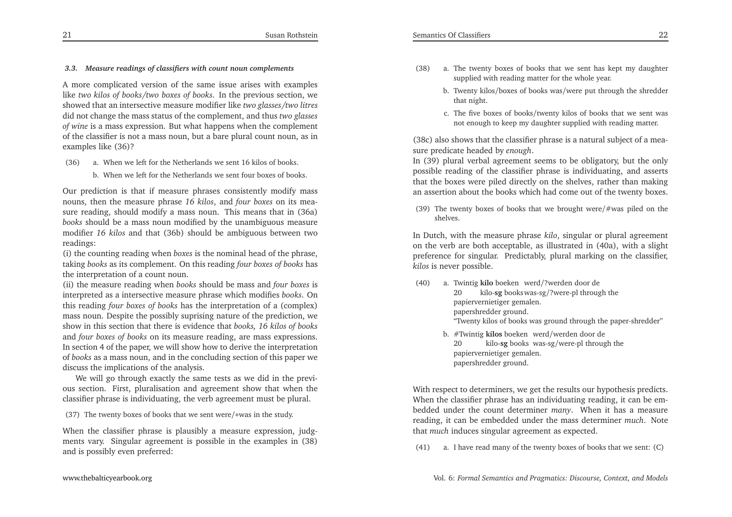### *3.3. Measure readings of classifiers with count noun complements*

<sup>A</sup> more complicated version of the same issue arises with examples like *two kilos of books /two boxes of books*. In the previous section, we showed that an intersective measure modifier like *two glasses /two litres* did not change the mass status of the complement, and thus *two glasses of wine* is <sup>a</sup> mass expression. But what happens when the complement of the classifier is not <sup>a</sup> mass noun, but <sup>a</sup> bare <sup>p</sup>lural count noun, as inexamples like (36)?

- (36) a. When we left for the Netherlands we sent 16 kilos of books.
	- b. When we left for the Netherlands we sent four boxes of books.

Our prediction is that if measure <sup>p</sup>hrases consistently modify mass nouns, then the measure <sup>p</sup>hrase *<sup>16</sup> kilos*, and *four boxes* on its measure reading, should modify <sup>a</sup> mass noun. This means that in (36a) *books* should be <sup>a</sup> mass noun modified by the unambiguous measure modifier *<sup>16</sup> kilos* and that (36b) should be ambiguous between tworeadings:

 (i) the counting reading when *boxes* is the nominal head of the <sup>p</sup>hrase, taking *books* as its complement. On this reading *four boxes of books* has the interpretation of <sup>a</sup> count noun.

(ii) the measure reading when *books* should be mass and *four boxes* is interpreted as <sup>a</sup> intersective measure <sup>p</sup>hrase which modifies *books*. On this reading *four boxes of books* has the interpretation of <sup>a</sup> (complex) mass noun. Despite the possibly suprising nature of the prediction, we show in this section that there is evidence that *books, <sup>16</sup> kilos of books* and *four boxes of books* on its measure reading, are mass expressions. In section <sup>4</sup> of the paper, we will show how to derive the interpretation of *books* as <sup>a</sup> mass noun, and in the concluding section of this paper wediscuss the implications of the analysis.

We will go through exactly the same tests as we did in the previ ous section. First, <sup>p</sup>luralisation and agreemen<sup>t</sup> show that when theclassifier <sup>p</sup>hrase is individuating, the verb agreemen<sup>t</sup> must be <sup>p</sup>lural.

(37) The twenty boxes of books that we sent were/<sup>∗</sup>was in the study.

When the classifier <sup>p</sup>hrase is <sup>p</sup>lausibly <sup>a</sup> measure expression, judgments vary. Singular agreemen<sup>t</sup> is possible in the examples in (38)and is possibly even preferred:

- (38) a. The twenty boxes of books that we sent has kept my daughtersupplied with reading matter for the whole year.
	- b. Twenty kilos/boxes of books was/were pu<sup>t</sup> through the shredderthat night.
	- c. The five boxes of books/twenty kilos of books that we sent wasnot enough to keep my daughter supplied with reading matter.

(38c) also shows that the classifier <sup>p</sup>hrase is <sup>a</sup> natural subject of <sup>a</sup> measure predicate headed by *enough*.

In (39) <sup>p</sup>lural verbal agreemen<sup>t</sup> seems to be obligatory, but the only possible reading of the classifier <sup>p</sup>hrase is individuating, and asserts that the boxes were <sup>p</sup>iled directly on the shelves, rather than makingan assertion about the books which had come out of the twenty boxes.

(39) The twenty boxes of books that we brought were/#was <sup>p</sup>iled on theshelves.

In Dutch, with the measure <sup>p</sup>hrase *kilo*, singular or <sup>p</sup>lural agreemen<sup>t</sup> on the verb are both acceptable, as illustrated in (40a), with <sup>a</sup> slight preference for singular. Predictably, <sup>p</sup>lural marking on the classifier, *kilos* is never possible.

- (40) a. Twintig **kilo** boeken werd/?werden door de <sup>20</sup> kilo-**sg** bookswas-sg/?were-pl through the papiervernietiger gemalen. papershredder ground. "Twenty kilos of books was ground through the paper-shredder"
	- b. #Twintig **kilos** boeken werd/werden door de <sup>20</sup> kilo-**sg** books was-sg/were-p<sup>l</sup> through the papiervernietiger gemalen. papershredder ground.

With respec<sup>t</sup> to determiners, we ge<sup>t</sup> the results our hypothesis predicts. When the classifier <sup>p</sup>hrase has an individuating reading, it can be embedded under the count determiner *many*. When it has <sup>a</sup> measure reading, it can be embedded under the mass determiner *much*. Notethat *much* induces singular agreemen<sup>t</sup> as expected.

(41) a. <sup>I</sup> have read many of the twenty boxes of books that we sent: (C)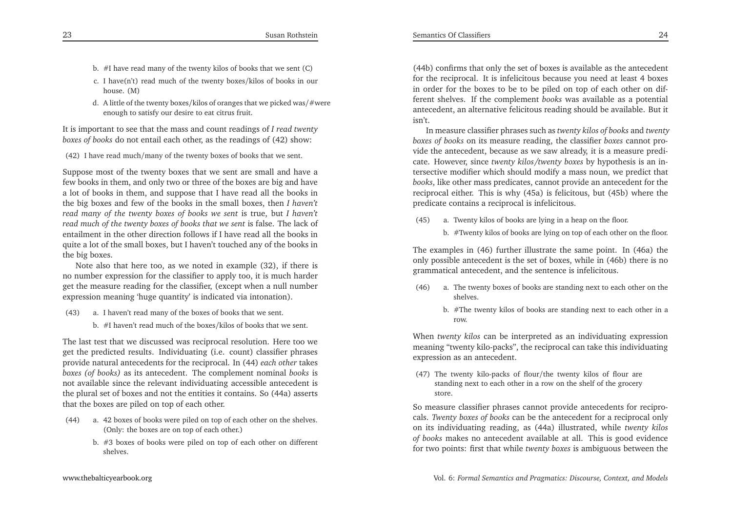- b. #I have read many of the twenty kilos of books that we sent (C)
- c. <sup>I</sup> have(n't) read much of the twenty boxes/kilos of books in ourhouse. (M)
- d. <sup>A</sup> little of the twenty boxes/kilos of oranges that we <sup>p</sup>icked was/#wereenough to satisfy our desire to eat citrus fruit.

It is important to see that the mass and count readings of *<sup>I</sup> read twentyboxes of books* do not entail each other, as the readings of (42) show:

(42) <sup>I</sup> have read much/many of the twenty boxes of books that we sent.

Suppose most of the twenty boxes that we sent are small and have <sup>a</sup> few books in them, and only two or three of the boxes are big and have <sup>a</sup> lot of books in them, and suppose that <sup>I</sup> have read all the books in the big boxes and few of the books in the small boxes, then *<sup>I</sup> haven't read many of the twenty boxes of books we sent* is true, but *<sup>I</sup> haven't read much of the twenty boxes of books that we sent* is false. The lack of entailment in the other direction follows if <sup>I</sup> have read all the books in quite <sup>a</sup> lot of the small boxes, but <sup>I</sup> haven't touched any of the books inthe big boxes.

Note also that here too, as we noted in example (32), if there is no number expression for the classifier to apply too, it is much harder ge<sup>t</sup> the measure reading for the classifier, (except when <sup>a</sup> null numberexpression meaning 'huge quantity' is indicated via intonation).

- (43) a. <sup>I</sup> haven't read many of the boxes of books that we sent.
	- b. #I haven't read much of the boxes/kilos of books that we sent.

The last test that we discussed was reciprocal resolution. Here too we ge<sup>t</sup> the predicted results. Individuating (i.e. count) classifier <sup>p</sup>hrases provide natural antecedents for the reciprocal. In (44) *each other* takes *boxes (of books)* as its antecedent. The complement nominal *books* is not available since the relevant individuating accessible antecedent is the <sup>p</sup>lural set of boxes and not the entities it contains. So (44a) assertsthat the boxes are <sup>p</sup>iled on top of each other.

- (44) a. 42 boxes of books were <sup>p</sup>iled on top of each other on the shelves. (Only: the boxes are on top of each other.)
	- b. #3 boxes of books were <sup>p</sup>iled on top of each other on differentshelves.

(44b) confirms that only the set of boxes is available as the antecedent for the reciprocal. It is infelicitous because you need at least <sup>4</sup> boxes in order for the boxes to be to be <sup>p</sup>iled on top of each other on different shelves. If the complement *books* was available as <sup>a</sup> potential antecedent, an alternative felicitous reading should be available. But itisn't.

In measure classifier <sup>p</sup>hrases such as *twenty kilos of books* and *twenty boxes of books* on its measure reading, the classifier *boxes* cannot provide the antecedent, because as we saw already, it is <sup>a</sup> measure predicate. However, since *twenty kilos/twenty boxes* by hypothesis is an intersective modifier which should modify <sup>a</sup> mass noun, we predict that *books*, like other mass predicates, cannot provide an antecedent for the reciprocal either. This is why (45a) is felicitous, but (45b) where thepredicate contains <sup>a</sup> reciprocal is infelicitous.

- (45) a. Twenty kilos of books are lying in <sup>a</sup> heap on the floor.
	- b. #Twenty kilos of books are lying on top of each other on the floor.

The examples in (46) further illustrate the same point. In (46a) the only possible antecedent is the set of boxes, while in (46b) there is nogrammatical antecedent, and the sentence is infelicitous.

- (46) a. The twenty boxes of books are standing next to each other on theshelves.
	- b. #The twenty kilos of books are standing next to each other in <sup>a</sup>row.

When *twenty kilos* can be interpreted as an individuating expression meaning "twenty kilo-packs", the reciprocal can take this individuatingexpression as an antecedent.

(47) The twenty kilo-packs of flour/the twenty kilos of flour are standing next to each other in <sup>a</sup> row on the shelf of the grocerystore.

So measure classifier <sup>p</sup>hrases cannot provide antecedents for reciprocals. *Twenty boxes of books* can be the antecedent for <sup>a</sup> reciprocal only on its individuating reading, as (44a) illustrated, while *twenty kilos of books* makes no antecedent available at all. This is good evidencefor two points: first that while *twenty boxes* is ambiguous between the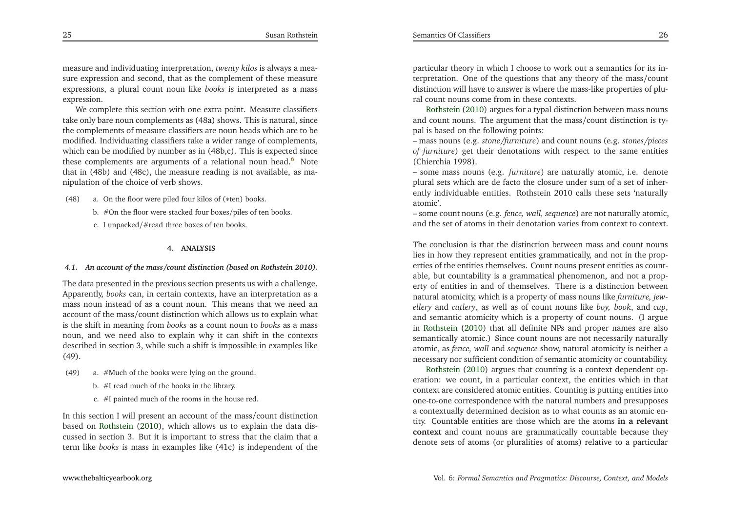measure and individuating interpretation, *twenty kilos* is always <sup>a</sup> measure expression and second, that as the complement of these measure expressions, <sup>a</sup> <sup>p</sup>lural count noun like *books* is interpreted as <sup>a</sup> mass expression.

 We complete this section with one extra point. Measure classifiers take only bare noun complements as (48a) shows. This is natural, since the complements of measure classifiers are noun heads which are to be modified. Individuating classifiers take <sup>a</sup> wider range of complements, which can be modified by number as in (48b,c). This is expected since these complements are arguments of a relational noun head.<sup>[6](#page-20-6)</sup> Note that in (48b) and (48c), the measure reading is not available, as manipulation of the choice of verb shows.

(48) a. On the floor were <sup>p</sup>iled four kilos of (∗ten) books.

- b. #On the floor were stacked four boxes/piles of ten books.
- c. <sup>I</sup> unpacked/#read three boxes of ten books.

#### **4. ANALYSIS**

#### 4.1. An account of the mass/count distinction (based on Rothstein 2010).

The data presented in the previous section presents us with <sup>a</sup> challenge. Apparently, *books* can, in certain contexts, have an interpretation as <sup>a</sup> mass noun instead of as <sup>a</sup> count noun. This means that we need an account of the mass/count distinction which allows us to explain what is the shift in meaning from *books* as <sup>a</sup> count noun to *books* as <sup>a</sup> mass noun, and we need also to explain why it can shift in the contexts described in section 3, while such <sup>a</sup> shift is impossible in examples like(49).

- (49) a. #Much of the books were lying on the ground.
	- b. #I read much of the books in the library.
	- c. #I painted much of the rooms in the house red.

In this section <sup>I</sup> will presen<sup>t</sup> an account of the mass/count distinction based on [Rothstein](#page-21-1) [\(2010](#page-21-1)), which allows us to explain the data discussed in section 3. But it is important to stress that the claim that <sup>a</sup>term like *books* is mass in examples like (41c) is independent of the

particular theory in which <sup>I</sup> choose to work out <sup>a</sup> semantics for its interpretation. One of the questions that any theory of the mass/count distinction will have to answer is where the mass-like properties of <sup>p</sup>luralcount nouns come from in these contexts.

Rothstein [\(2010\)](#page-21-1) argues for <sup>a</sup> typal distinction between mass nouns and count nouns. The argumen<sup>t</sup> that the mass/count distinction is typal is based on the following points:

 – mass nouns (e.g. *stone/furniture*) and count nouns (e.g. *stones/pieces of furniture*) ge<sup>t</sup> their denotations with respec<sup>t</sup> to the same entities(Chierchia 1998).

– some mass nouns (e.g. *furniture*) are naturally atomic, i.e. denote <sup>p</sup>lural sets which are de facto the closure under sum of <sup>a</sup> set of inherently individuable entities. Rothstein <sup>2010</sup> calls these sets 'naturallyatomic'.

 – some count nouns (e.g. *fence, wall, sequence*) are not naturally atomic, and the set of atoms in their denotation varies from context to context.

<span id="page-13-0"></span>The conclusion is that the distinction between mass and count nouns lies in how they represen<sup>t</sup> entities grammatically, and not in the properties of the entities themselves. Count nouns presen<sup>t</sup> entities as countable, but countability is <sup>a</sup> grammatical <sup>p</sup>henomenon, and not <sup>a</sup> property of entities in and of themselves. There is <sup>a</sup> distinction between natural atomicity, which is <sup>a</sup> property of mass nouns like *furniture, jewellery* and *cutlery*, as well as of count nouns like *boy, book*, and *cup*, and semantic atomicity which is <sup>a</sup> property of count nouns. (I argue in [Rothstein](#page-21-1) [\(2010](#page-21-1)) that all definite NPs and proper names are also semantically atomic.) Since count nouns are not necessarily naturally atomic, as *fence, wall* and *sequence* show, natural atomicity is neither <sup>a</sup> necessar[y](#page-21-1) nor sufficient condition of semantic atomicity or countability.

Rothstein [\(2010\)](#page-21-1) argues that counting is <sup>a</sup> context dependent operation: we count, in <sup>a</sup> particular context, the entities which in that context are considered atomic entities. Counting is putting entities into one-to-one correspondence with the natural numbers and presupposes <sup>a</sup> contextually determined decision as to what counts as an atomic entity. Countable entities are those which are the atoms **in <sup>a</sup> relevant context** and count nouns are grammatically countable because theydenote sets of atoms (or <sup>p</sup>luralities of atoms) relative to <sup>a</sup> particular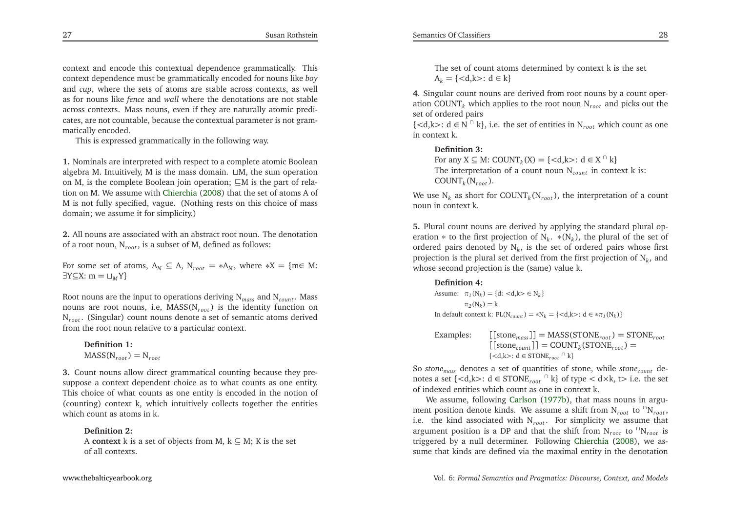context and encode this contextual dependence grammatically. This context dependence must be grammatically encoded for nouns like *boy* and *cup*, where the sets of atoms are stable across contexts, as well as for nouns like *fence* and *wall* where the denotations are not stable across contexts. Mass nouns, even if they are naturally atomic predicates, are not countable, because the contextual parameter is not grammatically encoded.

This is expressed grammatically in the following way.

**1.** Nominals are interpreted with respec<sup>t</sup> to <sup>a</sup> complete atomic Boolean algebra M. Intuitively, <sup>M</sup> is the mass domain. <sup>⊔</sup>M, the sum operation on M, is the complete Boolean join operation; ⊑<sup>M</sup> is the par<sup>t</sup> of relation on M. We assume with [Chierchia](#page-21-4) [\(2008\)](#page-21-4) that the set of atoms <sup>A</sup> of <sup>M</sup> is not fully specified, vague. (Nothing rests on this choice of mass domain; we assume it for simplicity.)

**2.** All nouns are associated with an abstract root noun. The denotationof <sup>a</sup> root noun, <sup>N</sup>*root* , is <sup>a</sup> subset of M, defined as follows:

For some set of atoms,  $A_N \subseteq A$ ,  $N_{root} = *A_N$ , where  $*X = \{m \in M: \exists Y \subset Y : m = \bot V\}$ ∃Y⊆X: <sup>m</sup> <sup>=</sup> <sup>⊔</sup>*<sup>M</sup>* <sup>Y</sup>}

Root nouns are the input to operations deriving <sup>N</sup>*mass* and <sup>N</sup>*count* . Mass nouns are root nouns, i.e, MASS(N*root* ) is the identity function on N*root* . (Singular) count nouns denote <sup>a</sup> set of semantic atoms derivedfrom the root noun relative to <sup>a</sup> particular context.

**Definition 1:** $MASS(N_{root}) = N_{root}$ 

**3.** Count nouns allow direct grammatical counting because they presuppose <sup>a</sup> context dependent choice as to what counts as one entity. This choice of what counts as one entity is encoded in the notion of (counting) context k, which intuitively collects together the entitieswhich count as atoms in k.

### **Definition 2:**

A **context** k is a set of objects from M,  $k \subseteq M$ ; K is the set of all contexts.

**<sup>4</sup>**. Singular count nouns are derived from root nouns by <sup>a</sup> count operation  $\mathrm{COUNT}_k$  which applies to the root noun  $\mathrm{N}_{root}$  and picks out the set of ordered pairs

 ${<} **d**,**k**$  i.e. the set of entities in N<sub>root</sub> which count as one in context k.

#### **Definition 3:**

For any  $X \subseteq M$ : COUNT<sub>k</sub>(X) = {<d,k>: d  $\in X \cap k$ }<br>The interpretation of a count noun N is cont The interpretation of <sup>a</sup> count noun <sup>N</sup>*count* in context <sup>k</sup> is:  $\text{COUNT}_k(\text{N}_{root})$ .

We use  $N_k$  as short for  $\text{COUNT}_k(N_{root})$ , the interpretation of a count noun in context k.

**5.** Plural count nouns are derived by applying the standard <sup>p</sup>lural operation <sup>∗</sup> to the first projection of <sup>N</sup>*k*. <sup>∗</sup>(N*k*), the <sup>p</sup>lural of the set of ordered pairs denoted by  $N_k$ , is the set of ordered pairs whose first projection is the <sup>p</sup>lural set derived from the first projection of <sup>N</sup>*k*, andwhose second projection is the (same) value k.

## **Definition 4:**

Assume:  $\pi_1(N_k) = \{d: \langle d, k \rangle \in N_k\}$  $\pi_2(N_k) = k$ In default context k:  $PL(N_{count}) = *N_k = \{  : d \in * \pi_1(N_k) \}$ 

Examples: 
$$
\begin{array}{ll} \text{[stone}_{mass}] = \text{MASS}(\text{STONE}_{root}) = \text{STONE}_{root} \\ \text{[stone}_{count}] = \text{COUNT}_{k}(\text{STONE}_{root}) = \\ \{\langle d, k \rangle : d \in \text{STONE}_{root} \cap k\} \end{array}
$$

So *stonemass* denotes <sup>a</sup> set of quantities of stone, while *stonecount* denotes a set {*<*d,k>: d ∈ STONE<sub>*root*</sub>  $\cap$  k} of type *<* d×k, t> i.e. the set of indexed entities which count as one in context k.

We assume, following [Carlson](#page-21-11) [\(1977b](#page-21-11)), that mass nouns in argument position denote kinds. We assume a shift from  $N_{root}$  to  ${}^{f}N_{root}$ , i.e. the kind associated with <sup>N</sup>*root* . For simplicity we assume that argument position is a DP and that the shift from  $N_{root}$  to  $\bigcap N_{root}$  is triggered by <sup>a</sup> null determiner. Following [Chierchia](#page-21-4) [\(2008](#page-21-4)), we assume that kinds are defined via the maximal entity in the denotation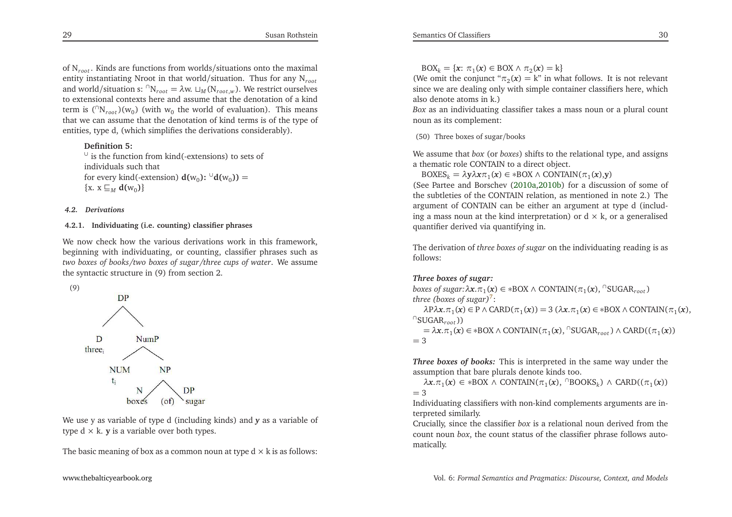of <sup>N</sup>*root* . Kinds are functions from worlds/situations onto the maximal entity instantiating Nroot in that world/situation. Thus for any <sup>N</sup>*root*and world/situation s:  ${}^{n}N_{root} = \lambda w$ .  $\sqcup_M (N_{root,w})$ . We restrict ourselves to extensional contexts here and assume that the denotation of <sup>a</sup> kind term is  $({}^{\cap}N_{root})(w_0)$  (with  $w_0$  the world of evaluation). This means that we can assume that the denotation of kind terms is of the type ofentities, type d, (which simplifies the derivations considerably).

## <span id="page-15-0"></span>**Definition 5:**

 ∪ is the function from kind(-extensions) to sets ofindividuals such thatfor every kind(-extension)  $d(w_0)$ : <sup>∪</sup> $d(w_0)$ ) =  $\{x. x \sqsubseteq_M d(w_0)\}\$ 

#### *4.2. Derivations*

### **4.2.1. Individuating (i.e. counting) classifier <sup>p</sup>hrases**

We now check how the various derivations work in this framework, beginning with individuating, or counting, classifier <sup>p</sup>hrases such astwo boxes of books/two boxes of sugar/three cups of water. We assume the syntactic structure in (9) from section 2.





We use <sup>y</sup> as variable of type d (including kinds) and *<sup>y</sup>* as <sup>a</sup> variable of type d <sup>×</sup> k. **<sup>y</sup>** is <sup>a</sup> variable over both types.

The basic meaning of box as a common noun at type  $d \times k$  is as follows:

 $\text{BOX}_k = \{x: \pi_1(x) \in \text{BOX} \land \pi_2(x) = k\}$ <br>*I*o omit the conjunct " $\pi_n(x) = k$ " in wh

(We omit the conjunct " $\pi_2(\mathbf{x}) = \mathbf{k}$ " in what follows. It is not relevant since we are dealing only with simple container classifiers here, whichalso denote atoms in k.)

 *Box* as an individuating classifier takes <sup>a</sup> mass noun or <sup>a</sup> <sup>p</sup>lural count noun as its complement:

(50) Three boxes of sugar/books

We assume that *box* (or *boxes*) shifts to the relational type, and assigns <sup>a</sup> thematic role CONTAIN to <sup>a</sup> direct object.

 $\text{BOXES}_k = \lambda y \lambda x \pi_1(x) ∈ *$ BOX∧ CONTAIN(π<sub>1</sub>(x),y)<br>ee Partee and Borschev (2010a.2010b) for a discus

(See Partee and Borschev [\(2010a](#page-21-17)[,2010b\)](#page-21-18) for <sup>a</sup> discussion of some of the subtleties of the CONTAIN relation, as mentioned in note 2.) The argumen<sup>t</sup> of CONTAIN can be either an argumen<sup>t</sup> at type d (including a mass noun at the kind interpretation) or  $d \times k$ , or a generalised<br>successified algebra and interpretation in quantifier derived via quantifying in.

The derivation of *three boxes of sugar* on the individuating reading is asfollows:

## *Three boxes of sugar:*

*boxes of sugar:* $\lambda x.\pi_1(x) \in *$ BOX ∧ CONTAIN( $\pi_1(x)$ ,  $\lceil$ SUGAR<sub>root</sub>) *three (boxes of sugar)*<sup>7</sup>: *three (boxes of sugar)*[7](#page-20-7):

*λ*P*λx*.*π*<sub>1</sub>(*x*) ∈ P ∧ CARD(*π*<sub>1</sub>(*x*)) = 3 (*λx*.*π*<sub>1</sub>(*x*) ∈ ∗BOX ∧ CONTAIN(*π*<sub>1</sub>(*x*), *UGAR*<sub>*rost*</sub>))  $^{\cap}$ SUGAR $_{root}$ ))

= *<sup>λ</sup><sup>x</sup>*.*π*1(*x*) <sup>∈</sup> <sup>∗</sup>BOX <sup>∧</sup> CONTAIN(*<sup>π</sup>*1(*x*), <sup>∩</sup>SUGAR*root* ) <sup>∧</sup> CARD((*<sup>π</sup>*1(*x*))  $=$  3

*Three boxes of books:* This is interpreted in the same way under theassumption that bare <sup>p</sup>lurals denote kinds too.

*λ<sup>x</sup>*.*π*1(*x*) <sup>∈</sup> <sup>∗</sup>BOX <sup>∧</sup> CONTAIN(*<sup>π</sup>*1(*x*), <sup>∩</sup>BOOKS*k*) <sup>∧</sup> CARD((*<sup>π</sup>*1(*x*))  $=$  3<br> $\frac{1}{1}$ 

Individuating classifiers with non-kind complements arguments are interpreted similarly.

Crucially, since the classifier *box* is <sup>a</sup> relational noun derived from the count noun *box*, the count status of the classifier <sup>p</sup>hrase follows automatically.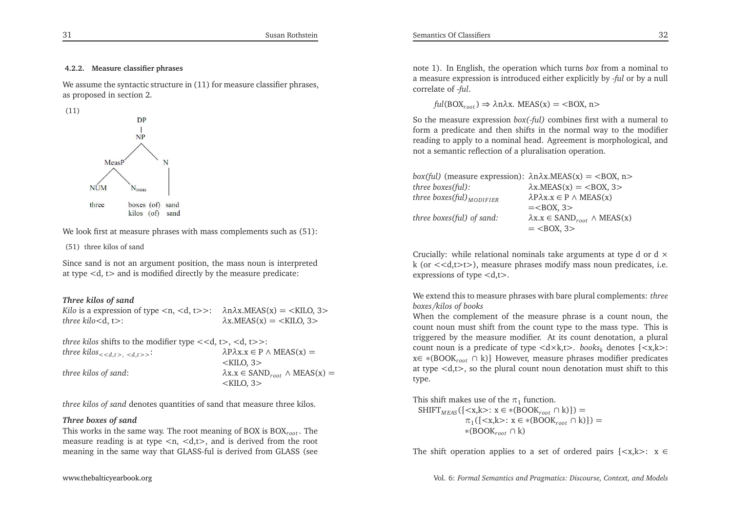#### **4.2.2. Measure classifier <sup>p</sup>hrases**

We assume the syntactic structure in  $(11)$  for measure classifier phrases, as proposed in section 2.



We look first at measure <sup>p</sup>hrases with mass complements such as (51):

(51) three kilos of sand

Since sand is not an argumen<sup>t</sup> position, the mass noun is interpretedat type *<sup>&</sup>lt;*d, <sup>t</sup>*<sup>&</sup>gt;* and is modified directly by the measure predicate:

#### *Three kilos of sand*

| <i>Kilo</i> is a expression of type $\langle n, \langle d, t \rangle \rangle$ : $\lambda n \lambda x.MEAS(x) = \langle KILO, 3 \rangle$ |                                            |
|-----------------------------------------------------------------------------------------------------------------------------------------|--------------------------------------------|
| <i>three kilo</i> $<$ d, t $>$ :                                                                                                        | $\lambda$ x.MEAS(x) = <kilo, 3=""></kilo,> |

*three kilos* shifts to the modifier type *<<*d, <sup>t</sup>*>*, *<sup>&</sup>lt;*d, <sup>t</sup>*>>*:  $\lambda$ P $\lambda$ x.x  $x \in P \land \text{MEAS}(x) =$ 

|                      | $\langle$ KILO, 3 $>$                                       |
|----------------------|-------------------------------------------------------------|
| three kilos of sand: | $\lambda$ x.x $\in$ SAND <sub>root</sub> $\wedge$ MEAS(x) = |
|                      | $\langle$ KILO, 3 $>$                                       |

*three kilos of sand* denotes quantities of sand that measure three kilos.

#### *Three boxes of sand*

 This works in the same way. The root meaning of BOX is BOX*root* . The measure reading is at type *<sup>&</sup>lt;*n, *<sup>&</sup>lt;*d,t*<sup>&</sup>gt;*, and is derived from the root meaning in the same way that GLASS-ful is derived from GLASS (see

note 1). In English, the operation which turns *box* from <sup>a</sup> nominal to <sup>a</sup> measure expression is introduced either explicitly by -*ful* or by <sup>a</sup> nullcorrelate of -*ful*.

*ful*(BOX*root* ) <sup>⇒</sup> *<sup>λ</sup>*n*λ*x. MEAS(x) <sup>=</sup> *<sup>&</sup>lt;*BOX, <sup>n</sup>*<sup>&</sup>gt;*

Semantics Of Classifiers

So the measure expression *box(-ful)* combines first with <sup>a</sup> numeral to form <sup>a</sup> predicate and then shifts in the normal way to the modifier reading to apply to <sup>a</sup> nominal head. Agreement is morphological, andnot <sup>a</sup> semantic reflection of <sup>a</sup> <sup>p</sup>luralisation operation.

| box(ful) (measure expression): $\lambda$ n $\lambda$ x.MEAS(x) = <box, n=""></box,> |                                                         |
|-------------------------------------------------------------------------------------|---------------------------------------------------------|
| three boxes(ful):                                                                   | $\lambda$ x.MEAS(x) = <box, 3=""></box,>                |
| three boxes(ful) $_{MODIFIER}$                                                      | $\lambda P \lambda x.x \in P \wedge \text{MEAS}(x)$     |
|                                                                                     | $=<\text{BOX}, 3>$                                      |
| three boxes(ful) of sand:                                                           | $\lambda x.x \in$ SAND <sub>root</sub> $\wedge$ MEAS(x) |
|                                                                                     | $=$ <box, 3=""></box,>                                  |
|                                                                                     |                                                         |

Crucially: while relational nominals take arguments at type  $d$  or  $d \times$  k (or *<<*d,t*>*t*>*), measure <sup>p</sup>hrases modify mass noun predicates, i.e. expressions of type *<sup>&</sup>lt;*d,t*<sup>&</sup>gt;*.

We extend this to measure <sup>p</sup>hrases with bare <sup>p</sup>lural complements: *threeboxes/kilos of books*

 When the complement of the measure <sup>p</sup>hrase is <sup>a</sup> count noun, the count noun must shift from the count type to the mass type. This is triggered by the measure modifier. At its count denotation, <sup>a</sup> <sup>p</sup>lural count noun is <sup>a</sup> predicate of type *<sup>&</sup>lt;*d×k,t*<sup>&</sup>gt;*. *books<sup>k</sup>* denotes {*<*x,k*<sup>&</sup>gt;*: <sup>x</sup><sup>∈</sup> <sup>∗</sup>(BOOK*root* <sup>∩</sup> k)} However, measure <sup>p</sup>hrases modifier predicates at type *<sup>&</sup>lt;*d,t*<sup>&</sup>gt;*, so the <sup>p</sup>lural count noun denotation must shift to this type.

This shift makes use of the  $\pi_1$  function.  $SHIFT_{MEAS}({\{\langle x, k \rangle : x \in \{BOOK_{root} \cap k\}\}})$  <sup>∈</sup> <sup>∗</sup>(BOOK*root* <sup>∩</sup> k)}) <sup>=</sup> *<sup>π</sup>*1({*<*x,k*<sup>&</sup>gt;*: <sup>x</sup> <sup>∈</sup> <sup>∗</sup>(BOOK*root* <sup>∩</sup> k)}) <sup>=</sup> <sup>∗</sup>(BOOK*root* <sup>∩</sup> k)

The shift operation applies to <sup>a</sup> set of ordered pairs {*<*x,k*<sup>&</sup>gt;*: <sup>x</sup> <sup>∈</sup>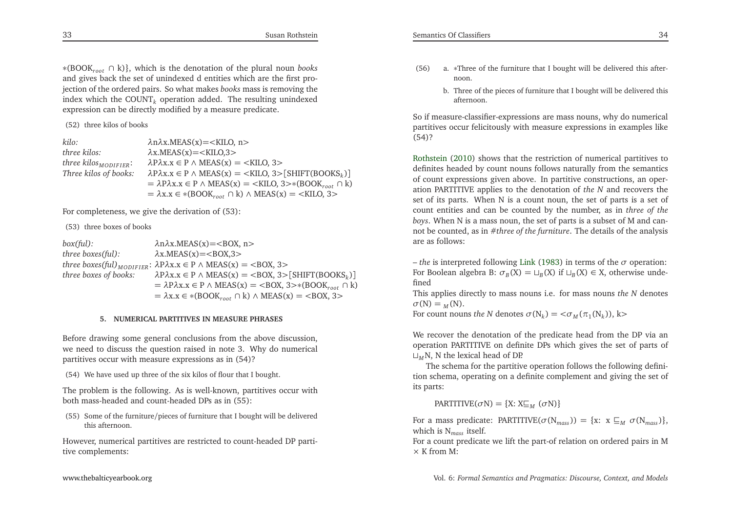<sup>∗</sup>(BOOK*root* <sup>∩</sup> k)}, which is the denotation of the <sup>p</sup>lural noun *books* and <sup>g</sup>ives back the set of unindexed d entities which are the first projection of the ordered pairs. So what makes *books* mass is removing the index which the COUNT*<sup>k</sup>* operation added. The resulting unindexed expression can be directly modified by <sup>a</sup> measure predicate.

(52) three kilos of books

| kilo:                             | $\lambda$ n $\lambda$ x.MEAS(x) = < KILO, n >                                                                                                                                                                            |
|-----------------------------------|--------------------------------------------------------------------------------------------------------------------------------------------------------------------------------------------------------------------------|
| three kilos:                      | $\lambda$ x.MEAS $(x) = \langle$ KILO.3 $>$                                                                                                                                                                              |
| three kilos <sub>MODIFIER</sub> : | $\lambda P \lambda x.x \in P \wedge \text{MEAS}(x) = \langle \text{KILO}, 3 \rangle$                                                                                                                                     |
| Three kilos of books:             | $\lambda P \lambda x.x \in P \wedge \text{MEAS}(x) = \langle \text{KILO}, 3 \rangle [\text{SHIFT}( \text{BOOKS}_k) ]$<br>$= \lambda P \lambda x.x \in P \wedge MEAS(x) = \langle KILO, 3 \rangle * (BOOK_{root} \cap k)$ |
|                                   | $= \lambda x.x \in *(BOOK_{root} \cap k) \wedge MEAS(x) = \langle KILO, 3 \rangle$                                                                                                                                       |

For completeness, we <sup>g</sup>ive the derivation of (53):

(53) three boxes of books

*box(ful):* $λnλx.MEAS(x)=<$ BOX, n> *three boxes(ful):* $λx.MEAS(x)=<$ BOX,3>  $\mathcal{L}$ *three boxes(ful)*<sub>*MODIFIER*:  $\lambda$ P $\lambda$ x.x ∈ P ∧ MEAS(x) = <BOX, 3><br>*three boxes* of *books*:  $\lambda$ P $\lambda$ x ∈ P ∧ MEAS(x) = <BOX, 3</sub> *three boxes of books:* $λ$ P*λ*x.x ∈ P ∧ MEAS(x) = <BOX, 3>[SHIFT(BOOKS<sub>k</sub>)]<br>- 2 D <sup>2</sup> V ⊆ D A MEAS(y) = ∠BOV, 2 > \* (BOOK) = *<sup>λ</sup>*P*λ*x.x <sup>∈</sup> <sup>P</sup> <sup>∧</sup> MEAS(x) <sup>=</sup> <sup>&</sup>lt;BOX, <sup>3</sup>>∗(BOOK*root* <sup>∩</sup> k)  $= \lambda x.x \in * (Boost_{root} \cap k) \land MEAS(x) = \langle BOX, 3 \rangle$ 

### **5. NUMERICAL PARTITIVES IN MEASURE PHRASES**

Before drawing some general conclusions from the above discussion, we need to discuss the question raised in note 3. Why do numericalpartitives occur with measure expressions as in (54)?

(54) We have used up three of the six kilos of flour that <sup>I</sup> bought.

The problem is the following. As is well-known, partitives occur withboth mass-headed and count-headed DPs as in (55):

(55) Some of the furniture/pieces of furniture that <sup>I</sup> bought will be deliveredthis afternoon.

However, numerical partitives are restricted to count-headed DP partitive complements:

b. Three of the <sup>p</sup>ieces of furniture that <sup>I</sup> bought will be delivered thisafternoon.

So if measure-classifier-expressions are mass nouns, why do numerical partitives occur felicitously with measure expressions in examples like (54)?

[Rothstein](#page-21-1) [\(2010](#page-21-1)) shows that the restriction of numerical partitives to definites headed by count nouns follows naturally from the semantics of count expressions <sup>g</sup>iven above. In partitive constructions, an operation PARTITIVE applies to the denotation of *the <sup>N</sup>* and recovers the set of its parts. When <sup>N</sup> is <sup>a</sup> count noun, the set of parts is <sup>a</sup> set of count entities and can be counted by the number, as in *three of the boys*. When <sup>N</sup> is <sup>a</sup> mass noun, the set of parts is <sup>a</sup> subset of <sup>M</sup> and cannot be counted, as in #*three of the furniture*. The details of the analysisare as follows:

– *the* is interpreted following [Link](#page-21-10) [\(1983\)](#page-21-10) in terms of the *<sup>σ</sup>* operation: For Boolean algebra B:  $\sigma_B(X) = \sqcup_B(X)$  if  $\sqcup_B(X) \in X$ , otherwise undefined

 This applies directly to mass nouns i.e. for mass nouns *the <sup>N</sup>* denotes *σ*(N) <sup>=</sup> *<sup>M</sup>* (N).

For count nouns *the N* denotes  $\sigma(N_k) = \langle \sigma_M(\pi_1(N_k)), k \rangle$ 

We recover the denotation of the predicate head from the DP via an operation PARTITIVE on definite DPs which <sup>g</sup>ives the set of parts of⊔*M* N, <sup>N</sup> the lexical head of DP.

The schema for the partitive operation follows the following definition schema, operating on <sup>a</sup> definite complement and <sup>g</sup>iving the set ofits parts:

 $\text{PARTITIVE}(\sigma N) = \{X: X \sqsubseteq_M (\sigma N)\}$ 

For a mass predicate: PARTITIVE( $\sigma(N_{mass})$ ) = {x: x  $\sqsubseteq_M \sigma(N_{mass})$ }, which is <sup>N</sup>*mass* itself.

For <sup>a</sup> count predicate we lift the part-of relation on ordered pairs in <sup>M</sup> $\times$  K from M: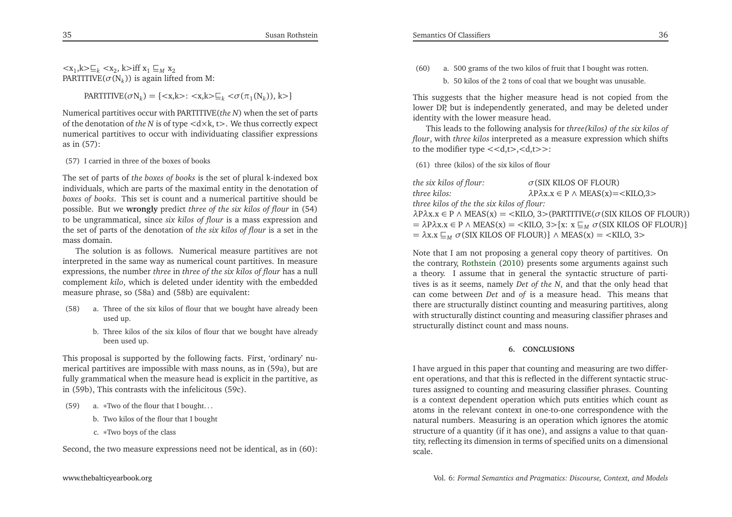<sup>&</sup>lt;x1,k>⊑*<sup>k</sup>* <sup>&</sup>lt;x2, <sup>k</sup>>iff <sup>x</sup><sup>1</sup> <sup>⊑</sup>*<sup>M</sup>* <sup>x</sup><sup>2</sup> PARTITIVE( $\sigma(N_k)$ ) is again lifted from M:

 $\text{PARTITIVE}(\sigma N_k) = \{ \langle x, k \rangle : \langle x, k \rangle \subseteq_k \langle \sigma(\pi_1(N_k)), k \rangle \}$ 

Numerical partitives occur with PARTITIVE(*the <sup>N</sup>*) when the set of parts of the denotation of *the <sup>N</sup>* is of type <sup>&</sup>lt;d×k, <sup>t</sup>>. We thus correctly expec<sup>t</sup> numerical partitives to occur with individuating classifier expressionsas in (57):

## (57) <sup>I</sup> carried in three of the boxes of books

The set of parts of *the boxes of books* is the set of <sup>p</sup>lural k-indexed box individuals, which are parts of the maximal entity in the denotation of *boxes of books*. This set is count and <sup>a</sup> numerical partitive should be possible. But we **wrongly** predict *three of the six kilos of flour* in (54) to be ungrammatical, since *six kilos of flour* is <sup>a</sup> mass expression and the set of parts of the denotation of *the six kilos of flour* is <sup>a</sup> set in themass domain.

The solution is as follows. Numerical measure partitives are not interpreted in the same way as numerical count partitives. In measure expressions, the number *three* in *three of the six kilos of flour* has <sup>a</sup> null complement *kilo*, which is deleted under identity with the embeddedmeasure <sup>p</sup>hrase, so (58a) and (58b) are equivalent:

- (58) a. Three of the six kilos of flour that we bought have already beenused up.
	- b. Three kilos of the six kilos of flour that we bought have alreadybeen used up.

This proposal is supported by the following facts. First, 'ordinary' numerical partitives are impossible with mass nouns, as in (59a), but are fully grammatical when the measure head is explicit in the partitive, asin (59b), This contrasts with the infelicitous (59c).

(59) a. <sup>∗</sup>Two of the flour that <sup>I</sup> bought. . .

- b. Two kilos of the flour that <sup>I</sup> bought
- c. <sup>∗</sup>Two boys of the class

Second, the two measure expressions need not be identical, as in (60):

(60) a. <sup>500</sup> grams of the two kilos of fruit that <sup>I</sup> bought was rotten. b. <sup>50</sup> kilos of the <sup>2</sup> tons of coal that we bought was unusable.

This suggests that the higher measure head is not copied from the<br>laws: DD hut is independently consulted, and may be delated under lower DP, but is independently generated, and may be deleted under identity with the lower measure head.

This leads to the following analysis for *three(kilos) of the six kilos of flour*, with *three kilos* interpreted as <sup>a</sup> measure expression which shifts to the modifier type  $\langle ,\rangle$ :

(61) three (kilos) of the six kilos of flour

*the six kilos of flour: <sup>σ</sup>*(SIX KILOS OF FLOUR) *λ*P*λ*x.x <sup>∈</sup> <sup>P</sup> <sup>∧</sup> MEAS(x)=<KILO,3<sup>&</sup>gt;*three kilos:three kilos of the the six kilos of flour: λ*P*λ*x.x <sup>∈</sup> <sup>P</sup> <sup>∧</sup> MEAS(x) <sup>=</sup> <sup>&</sup>lt;KILO, <sup>3</sup>>(PARTITIVE(*σ*(SIX KILOS OF FLOUR)) = *<sup>λ</sup>*P*λ*x.x <sup>∈</sup> <sup>P</sup> <sup>∧</sup> MEAS(x) <sup>=</sup> <sup>&</sup>lt;KILO, <sup>3</sup>>{x: <sup>x</sup> <sup>⊑</sup>*<sup>M</sup> <sup>σ</sup>*(SIX KILOS OF FLOUR)}  $= \lambda x.x \sqsubseteq_M \sigma(SIX$  KILOS OF FLOUR)}  $\wedge$  MEAS(x) = <KILO, 3>

Note that <sup>I</sup> am not proposing <sup>a</sup> general copy theory of partitives. On the contrary, [Rothstein](#page-21-1) [\(2010](#page-21-1)) presents some arguments against such <sup>a</sup> theory. <sup>I</sup> assume that in general the syntactic structure of partitives is as it seems, namely *Det of the <sup>N</sup>*, and that the only head that can come between *Det* and *of* is <sup>a</sup> measure head. This means that there are structurally distinct counting and measuring partitives, along with structurally distinct counting and measuring classifier <sup>p</sup>hrases andstructurally distinct count and mass nouns.

## **6. CONCLUSIONS**

<sup>I</sup> have argued in this paper that counting and measuring are two different operations, and that this is reflected in the different syntactic structures assigned to counting and measuring classifier <sup>p</sup>hrases. Counting is <sup>a</sup> context dependent operation which puts entities which count as atoms in the relevant context in one-to-one correspondence with the natural numbers. Measuring is an operation which ignores the atomic structure of <sup>a</sup> quantity (if it has one), and assigns <sup>a</sup> value to that quantity, reflecting its dimension in terms of specified units on <sup>a</sup> dimensional scale.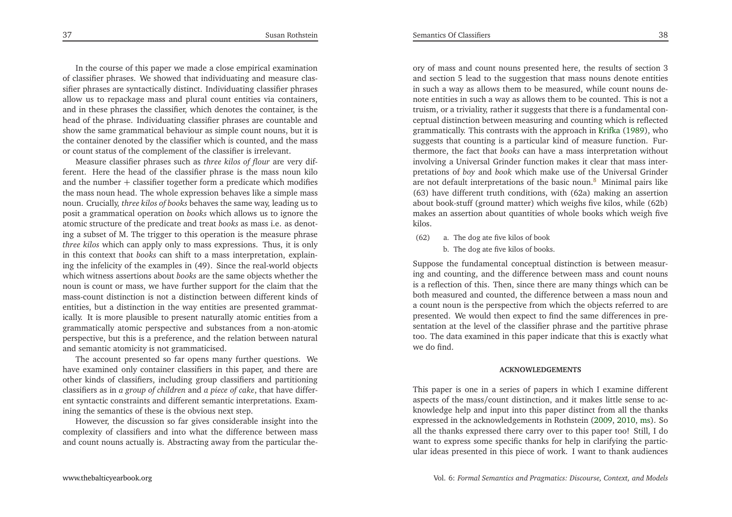In the course of this paper we made <sup>a</sup> close empirical examination of classifier <sup>p</sup>hrases. We showed that individuating and measure classifier <sup>p</sup>hrases are syntactically distinct. Individuating classifier <sup>p</sup>hrases allow us to repackage mass and <sup>p</sup>lural count entities via containers, and in these <sup>p</sup>hrases the classifier, which denotes the container, is the head of the <sup>p</sup>hrase. Individuating classifier <sup>p</sup>hrases are countable and show the same grammatical behaviour as simple count nouns, but it is the container denoted by the classifier which is counted, and the mass or count status of the complement of the classifier is irrelevant.

Measure classifier <sup>p</sup>hrases such as *three kilos of flour* are very different. Here the head of the classifier <sup>p</sup>hrase is the mass noun kilo and the number  $+$  classifier together form a predicate which modifies the mass noun head. The whole expression behaves like <sup>a</sup> simple mass noun. Crucially, *three kilos of books* behaves the same way, leading us to posit <sup>a</sup> grammatical operation on *books* which allows us to ignore the atomic structure of the predicate and treat *books* as mass i.e. as denoting <sup>a</sup> subset of M. The trigger to this operation is the measure <sup>p</sup>hrase *three kilos* which can apply only to mass expressions. Thus, it is only in this context that *books* can shift to <sup>a</sup> mass interpretation, explaining the infelicity of the examples in (49). Since the real-world objects which witness assertions about *books* are the same objects whether the noun is count or mass, we have further suppor<sup>t</sup> for the claim that the mass-count distinction is not <sup>a</sup> distinction between different kinds of entities, but <sup>a</sup> distinction in the way entities are presented grammatically. It is more <sup>p</sup>lausible to presen<sup>t</sup> naturally atomic entities from <sup>a</sup> grammatically atomic perspective and substances from <sup>a</sup> non-atomic perspective, but this is <sup>a</sup> preference, and the relation between naturaland semantic atomicity is not grammaticised.

The account presented so far opens many further questions. We have examined only container classifiers in this paper, and there are other kinds of classifiers, including group classifiers and partitioning classifiers as in *<sup>a</sup> group of children* and *<sup>a</sup> <sup>p</sup>iece of cake*, that have different syntactic constraints and different semantic interpretations. Examining the semantics of these is the obvious next step.

However, the discussion so far <sup>g</sup>ives considerable insight into the complexity of classifiers and into what the difference between massand count nouns actually is. Abstracting away from the particular the-

ory of mass and count nouns presented here, the results of section <sup>3</sup> and section <sup>5</sup> lead to the suggestion that mass nouns denote entities in such <sup>a</sup> way as allows them to be measured, while count nouns denote entities in such <sup>a</sup> way as allows them to be counted. This is not <sup>a</sup> truism, or <sup>a</sup> triviality, rather it suggests that there is <sup>a</sup> fundamental conceptual distinction between measuring and counting which is reflected grammatically. This contrasts with the approach in [Krifka](#page-21-19) [\(1989](#page-21-19)), who suggests that counting is <sup>a</sup> particular kind of measure function. Furthermore, the fact that *books* can have <sup>a</sup> mass interpretation without involving <sup>a</sup> Universal Grinder function makes it clear that mass interpretations of *boy* and *book* which make use of the Universal Grinder are not default interpretations of the basic noun. $\delta$  Minimal pairs like (63) have different truth conditions, with (62a) making an assertion about book-stuff (ground matter) which weighs five kilos, while (62b) makes an assertion about quantities of whole books which weigh fivekilos.

<span id="page-19-0"></span>(62) a. The dog ate five kilos of bookb. The dog ate five kilos of books.

Suppose the fundamental conceptual distinction is between measuring and counting, and the difference between mass and count nouns is <sup>a</sup> reflection of this. Then, since there are many things which can be both measured and counted, the difference between <sup>a</sup> mass noun and <sup>a</sup> count noun is the perspective from which the objects referred to are presented. We would then expec<sup>t</sup> to find the same differences in presentation at the level of the classifier <sup>p</sup>hrase and the partitive <sup>p</sup>hrase too. The data examined in this paper indicate that this is exactly whatwe do find.

#### **ACKNOWLEDGEMENTS**

This paper is one in <sup>a</sup> series of papers in which <sup>I</sup> examine different aspects of the mass/count distinction, and it makes little sense to acknowledge help and input into this paper distinct from all the thanks expressed in the acknowledgements in Rothstein [\(2009](#page-21-0), [2010](#page-21-1), [ms](#page-21-20)). So all the thanks expressed there carry over to this paper too! Still, <sup>I</sup> do want to express some specific thanks for help in clarifying the particular ideas presented in this <sup>p</sup>iece of work. <sup>I</sup> want to thank audiences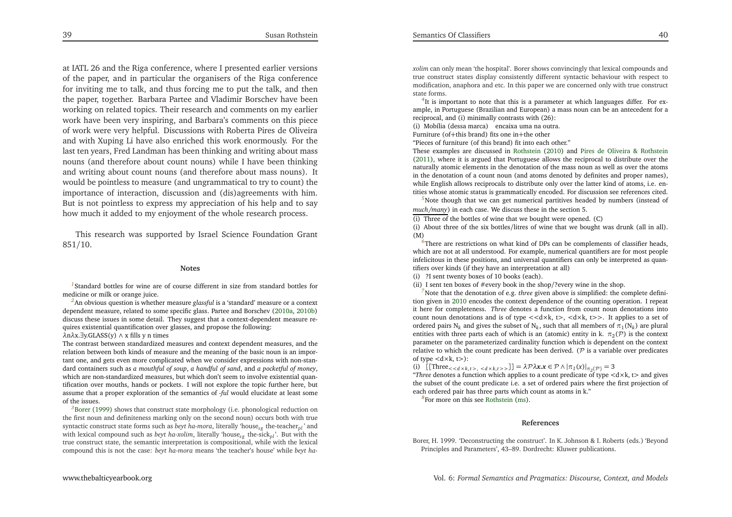<span id="page-20-7"></span><span id="page-20-6"></span><span id="page-20-3"></span><span id="page-20-2"></span><span id="page-20-0"></span>at IATL 26 and the Riga conference, where <sup>I</sup> presented earlier versions of the paper, and in particular the organisers of the Riga conference for inviting me to talk, and thus forcing me to pu<sup>t</sup> the talk, and then the paper, together. Barbara Partee and Vladimir Borschev have been working on related topics. Their research and comments on my earlier work have been very inspiring, and Barbara's comments on this <sup>p</sup>iece of work were very helpful. Discussions with Roberta Pires de Oliveira and with Xuping Li have also enriched this work enormously. For the last ten years, Fred Landman has been thinking and writing about mass nouns (and therefore about count nouns) while <sup>I</sup> have been thinking and writing about count nouns (and therefore about mass nouns). It would be pointless to measure (and ungrammatical to try to count) the importance of interaction, discussion and (dis)agreements with him. But is not pointless to express my appreciation of his help and to sayhow much it added to my enjoyment of the whole research process.

<span id="page-20-8"></span>This research was supported by Israel Science Foundation Grant851/10.

#### **Notes**

*[1](#page-1-0)*Standard bottles for wine are of course different in size from standard bottles formedicine or milk or orange juice.

<span id="page-20-1"></span>*[2](#page-5-0)*An obvious question is whether measure *glassful* is <sup>a</sup> 'standard' measure or <sup>a</sup> context dependent measure, related to some specific <sup>g</sup>lass. Partee and Borschev [\(2010a](#page-21-17), [2010b](#page-21-18)) discuss these issues in some detail. They sugges<sup>t</sup> that <sup>a</sup> context-dependent measure requires existential quantification over <sup>g</sup>lasses, and propose the following:

*λ*n*λ*x.∃y.GLASS(y) <sup>∧</sup> <sup>x</sup> fills <sup>y</sup> <sup>n</sup> times

The contrast between standardized measures and context dependent measures, and the relation between both kinds of measure and the meaning of the basic noun is an important one, and gets even more complicated when we consider expressions with non-standard containers such as a mouthful of soup, a handful of sand, and a pocketful of money, which are non-standardized measures, but which don't seem to involve existential quantification over mouths, hands or pockets. <sup>I</sup> will not explore the topic further here, but assume that <sup>a</sup> proper exploration of the semantics of *-ful* would elucidate at least someof the issues.

*[3](#page-6-0)*[Borer](#page-20-2) [\(1999](#page-20-2)) shows that construct state morphology (i.e. <sup>p</sup>honological reduction on the first noun and definiteness marking only on the second noun) occurs both with true syntactic construct state forms such as *beyt ha-mora*, literally 'house*sg* the-teacher*pl* ' and with lexical compound such as *beyt ha-xolim*, literally 'house*sg* the-sick*pl* '. But with the true construct state, the semantic interpretation is compositional, while with the lexicalcompound this is not the case: *beyt ha-mora* means 'the teacher's house' while *beyt ha-*

<span id="page-20-5"></span><span id="page-20-4"></span>*xolim* can only mean 'the hospital'. Borer shows convincingly that lexical compounds and true construct states display consistently different syntactic behaviour with respec<sup>t</sup> to modification, anaphora and etc. In this paper we are concerned only with true constructstate forms.

<sup>[4](#page-8-0)</sup>It is important to note that this is a parameter at which languages differ. For example, in Portuguese (Brazilian and European) <sup>a</sup> mass noun can be an antecedent for <sup>a</sup>reciprocal, and (i) minimally contrasts with (26):

(i) Mobília (dessa marca) encaixa uma na outra.

Furniture (of+this brand) fits one in<sup>+</sup>the other

"Pieces of furniture (of this brand) fit into each other."

 These examples are discussed in [Rothstein](#page-21-1) [\(2010](#page-21-1)) and Pires de Oliveira & [Rothstein](#page-21-21) [\(2011](#page-21-21)), where it is argued that Portuguese allows the reciprocal to distribute over the naturally atomic elements in the denotation of the mass noun as well as over the atoms in the denotation of <sup>a</sup> count noun (and atoms denoted by definites and proper names), while English allows reciprocals to distribute only over the latter kind of atoms, i.e. entities whose atomic status is grammatically encoded. For discussion see references cited.

*[5](#page-10-0)*Note though that we can ge<sup>t</sup> numerical partitives headed by numbers (instead of*much/many*) in each case. We discuss these in the section 5.

(i) Three of the bottles of wine that we bought were opened. (C)

 (i) About three of the six bottles/litres of wine that we bought was drunk (all in all). (M)

 *[6](#page-13-0)*There are restrictions on what kind of DPs can be complements of classifier heads, which are not at all understood. For example, numerical quantifiers are for most people infelicitous in these positions, and universal quantifiers can only be interpreted as quantifiers over kinds (if they have an interpretation at all)

(i) ?I sent twenty boxes of <sup>10</sup> books (each).

(ii) <sup>I</sup> sent ten boxes of #every book in the shop/?every wine in the shop.

*[7](#page-15-0)*Note that the denotation of e.g. *three* <sup>g</sup>iven above is simplified: the complete definition given in [2010](#page-21-1) encodes the context dependence of the counting operation. <sup>I</sup> repea<sup>t</sup> it here for completeness. *Three* denotes <sup>a</sup> function from count noun denotations into count noun denotations and is of type *<<*d×k, <sup>t</sup> *>*, *<sup>&</sup>lt;*d×k, <sup>t</sup>*>>*. It applies to <sup>a</sup> set ofordered pairs  $N_k$  and gives the subset of  $N_k$ , such that all members of  $\pi_1(N_k)$  are plural entities with three parts each of which is an (atomic) entity in k.  $\pi_2(\mathcal{P})$  is the context parameter on the parameterized cardinality function which is dependent on the context relative to which the count predicate has been derived. (P is <sup>a</sup> variable over predicates of type*<sup>&</sup>lt;*d×k, <sup>t</sup>*>*):

(i)  $\left[\left[\text{Three}_{< d \times k, t > , < d \times k, t >>} \right]\right] = \lambda \mathcal{P} \lambda x. x \in \mathcal{P} \wedge |\pi_1(x)|_{\pi_2(\mathcal{P})} = 3$ 

*λ P*<sub>*λ*</sub>*<i>λ<i>λx***<sub>***x***</sub>***<b><i><i>+<i>λ<i>λ***<sub>***x***</sub>***<i>λ***</del>***<i>+<i>λ(π<sub>1</sub>(x)***<sup>***l***</sup>***<i>π<sub>2</sub>(* $\varphi$ *) = 3<br>
<i><sup><i>x***</sup>***Phree* **denotes a function which applies to a count predicate of type <d×k, t> and gives**  the subset of the count predicate i.e. <sup>a</sup> set of ordered pairs where the first projection ofeach ordered pair has three parts which count as atoms in k."

*[8](#page-19-0)*For more on this see [Rothstein](#page-21-20) [\(ms](#page-21-20)).

#### **References**

Borer, H. 1999. 'Deconstructing the construct'. In K. Johnson & I. Roberts (eds.) 'BeyondPrinciples and Parameters', 43–89. Dordrecht: Kluwer publications.